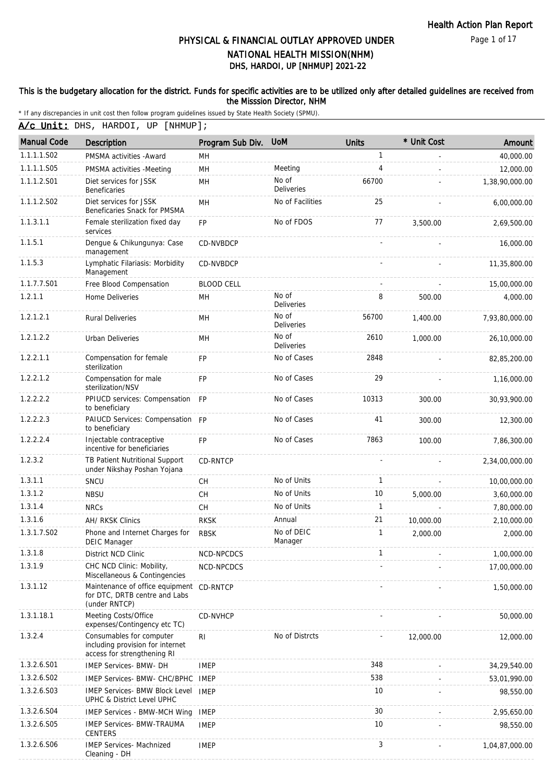Page 1 of 17

# DHS, HARDOI, UP [NHMUP] 2021-22 PHYSICAL & FINANCIAL OUTLAY APPROVED UNDER NATIONAL HEALTH MISSION(NHM)

#### This is the budgetary allocation for the district. Funds for specific activities are to be utilized only after detailed guidelines are received from the Misssion Director, NHM

\* If any discrepancies in unit cost then follow program guidelines issued by State Health Society (SPMU).

A/c Unit: DHS, HARDOI, UP [NHMUP];

| <b>Manual Code</b> | <b>Description</b>                                                                          | Program Sub Div.  | <b>UoM</b>                 | Units        | * Unit Cost | Amount         |
|--------------------|---------------------------------------------------------------------------------------------|-------------------|----------------------------|--------------|-------------|----------------|
| 1.1.1.1.S02        | PMSMA activities - Award                                                                    | <b>MH</b>         |                            | $\mathbf{1}$ |             | 40,000.00      |
| 1.1.1.1.S05        | PMSMA activities -Meeting                                                                   | MH                | Meeting                    | 4            |             | 12,000.00      |
| 1.1.1.2.S01        | Diet services for JSSK<br>Beneficaries                                                      | MH                | No of<br><b>Deliveries</b> | 66700        |             | 1,38,90,000.00 |
| 1.1.1.2.S02        | Diet services for JSSK<br>Beneficaries Snack for PMSMA                                      | MH                | No of Facilities           | 25           |             | 6,00,000.00    |
| 1.1.3.1.1          | Female sterilization fixed day<br>services                                                  | FP                | No of FDOS                 | 77           | 3,500.00    | 2,69,500.00    |
| 1.1.5.1            | Dengue & Chikungunya: Case<br>management                                                    | CD-NVBDCP         |                            |              |             | 16,000.00      |
| 1.1.5.3            | Lymphatic Filariasis: Morbidity<br>Management                                               | CD-NVBDCP         |                            |              |             | 11,35,800.00   |
| 1.1.7.7.S01        | Free Blood Compensation                                                                     | <b>BLOOD CELL</b> |                            |              |             | 15,00,000.00   |
| 1.2.1.1            | Home Deliveries                                                                             | MН                | No of<br><b>Deliveries</b> | 8            | 500.00      | 4,000.00       |
| 1.2.1.2.1          | <b>Rural Deliveries</b>                                                                     | MН                | No of<br>Deliveries        | 56700        | 1,400.00    | 7,93,80,000.00 |
| 1.2.1.2.2          | Urban Deliveries                                                                            | MH                | No of<br><b>Deliveries</b> | 2610         | 1,000.00    | 26,10,000.00   |
| 1.2.2.1.1          | Compensation for female<br>sterilization                                                    | <b>FP</b>         | No of Cases                | 2848         |             | 82,85,200.00   |
| 1.2.2.1.2          | Compensation for male<br>sterilization/NSV                                                  | <b>FP</b>         | No of Cases                | 29           |             | 1,16,000.00    |
| 1.2.2.2.2          | PPIUCD services: Compensation<br>to beneficiary                                             | <b>FP</b>         | No of Cases                | 10313        | 300.00      | 30,93,900.00   |
| 1.2.2.2.3          | PAIUCD Services: Compensation FP<br>to beneficiary                                          |                   | No of Cases                | 41           | 300.00      | 12,300.00      |
| 1.2.2.2.4          | Injectable contraceptive<br>incentive for beneficiaries                                     | FP                | No of Cases                | 7863         | 100.00      | 7,86,300.00    |
| 1.2.3.2            | TB Patient Nutritional Support<br>under Nikshay Poshan Yojana                               | CD-RNTCP          |                            |              |             | 2,34,00,000.00 |
| 1.3.1.1            | SNCU                                                                                        | CH                | No of Units                | $\mathbf{1}$ |             | 10,00,000.00   |
| 1.3.1.2            | <b>NBSU</b>                                                                                 | <b>CH</b>         | No of Units                | 10           | 5,000.00    | 3,60,000.00    |
| 1.3.1.4            | <b>NRCs</b>                                                                                 | CH                | No of Units                | $\mathbf{1}$ |             | 7,80,000.00    |
| 1.3.1.6            | AH/ RKSK Clinics                                                                            | <b>RKSK</b>       | Annual                     | 21           | 10,000.00   | 2,10,000.00    |
| 1.3.1.7.S02        | Phone and Internet Charges for<br><b>DEIC Manager</b>                                       | <b>RBSK</b>       | No of DEIC<br>Manager      | 1            | 2,000.00    | 2,000.00       |
| 1.3.1.8            | District NCD Clinic                                                                         | NCD-NPCDCS        |                            | 1            |             | 1,00,000.00    |
| 1.3.1.9            | CHC NCD Clinic: Mobility,<br>Miscellaneous & Contingencies                                  | NCD-NPCDCS        |                            |              |             | 17,00,000.00   |
| 1.3.1.12           | Maintenance of office equipment CD-RNTCP<br>for DTC, DRTB centre and Labs<br>(under RNTCP)  |                   |                            |              |             | 1,50,000.00    |
| 1.3.1.18.1         | Meeting Costs/Office<br>expenses/Contingency etc TC)                                        | CD-NVHCP          |                            |              |             | 50,000.00      |
| 1.3.2.4            | Consumables for computer<br>including provision for internet<br>access for strengthening RI | RI                | No of Distrcts             |              | 12,000.00   | 12,000.00      |
| 1.3.2.6.S01        | <b>IMEP Services- BMW- DH</b>                                                               | <b>IMEP</b>       |                            | 348          |             | 34,29,540.00   |
| 1.3.2.6.S02        | IMEP Services- BMW- CHC/BPHC                                                                | IMEP              |                            | 538          |             | 53,01,990.00   |
| 1.3.2.6.S03        | IMEP Services- BMW Block Level IMEP<br>UPHC & District Level UPHC                           |                   |                            | 10           |             | 98,550.00      |
| 1.3.2.6.S04        | <b>IMEP Services - BMW-MCH Wing</b>                                                         | <b>IMEP</b>       |                            | 30           |             | 2,95,650.00    |
| 1.3.2.6.S05        | <b>IMEP Services- BMW-TRAUMA</b><br><b>CENTERS</b>                                          | <b>IMEP</b>       |                            | 10           |             | 98,550.00      |
| 1.3.2.6.S06        | IMEP Services- Machnized<br>Cleaning - DH                                                   | <b>IMEP</b>       |                            | 3            |             | 1,04,87,000.00 |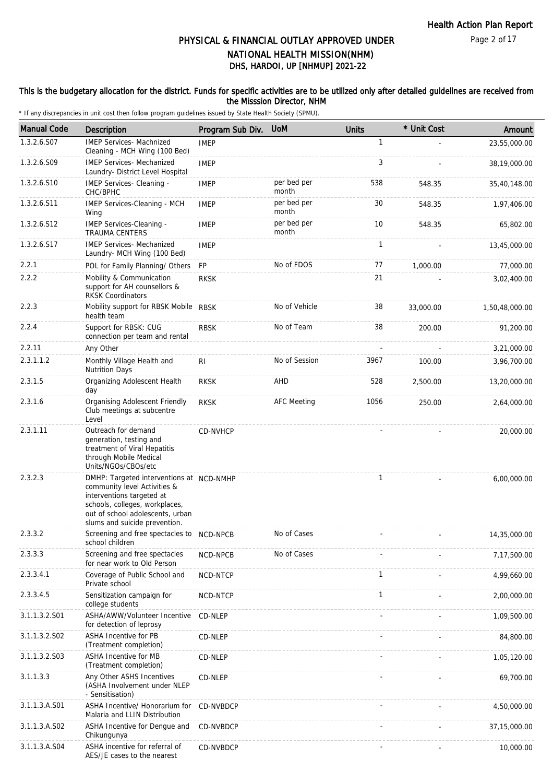#### This is the budgetary allocation for the district. Funds for specific activities are to be utilized only after detailed guidelines are received from the Misssion Director, NHM

| <b>Manual Code</b> | Description                                                                                                                                                                                                  | Program Sub Div. | <b>UoM</b>           | <b>Units</b> | * Unit Cost | Amount         |
|--------------------|--------------------------------------------------------------------------------------------------------------------------------------------------------------------------------------------------------------|------------------|----------------------|--------------|-------------|----------------|
| 1.3.2.6.S07        | <b>IMEP Services- Machnized</b><br>Cleaning - MCH Wing (100 Bed)                                                                                                                                             | <b>IMEP</b>      |                      | 1            |             | 23,55,000.00   |
| 1.3.2.6.S09        | <b>IMEP Services- Mechanized</b><br>Laundry- District Level Hospital                                                                                                                                         | <b>IMEP</b>      |                      | 3            |             | 38,19,000.00   |
| 1.3.2.6.S10        | IMEP Services- Cleaning -<br>CHC/BPHC                                                                                                                                                                        | <b>IMEP</b>      | per bed per<br>month | 538          | 548.35      | 35,40,148.00   |
| 1.3.2.6.S11        | IMEP Services-Cleaning - MCH<br>Wing                                                                                                                                                                         | <b>IMEP</b>      | per bed per<br>month | 30           | 548.35      | 1,97,406.00    |
| 1.3.2.6.S12        | <b>IMEP Services-Cleaning -</b><br><b>TRAUMA CENTERS</b>                                                                                                                                                     | <b>IMEP</b>      | per bed per<br>month | 10           | 548.35      | 65,802.00      |
| 1.3.2.6.S17        | <b>IMEP Services- Mechanized</b><br>Laundry- MCH Wing (100 Bed)                                                                                                                                              | <b>IMEP</b>      |                      | $\mathbf{1}$ |             | 13,45,000.00   |
| 2.2.1              | POL for Family Planning/ Others                                                                                                                                                                              | FP               | No of FDOS           | 77           | 1,000.00    | 77,000.00      |
| 2.2.2              | Mobility & Communication<br>support for AH counsellors &<br><b>RKSK Coordinators</b>                                                                                                                         | <b>RKSK</b>      |                      | 21           |             | 3,02,400.00    |
| 2.2.3              | Mobility support for RBSK Mobile RBSK<br>health team                                                                                                                                                         |                  | No of Vehicle        | 38           | 33,000.00   | 1,50,48,000.00 |
| 2.2.4              | Support for RBSK: CUG<br>connection per team and rental                                                                                                                                                      | <b>RBSK</b>      | No of Team           | 38           | 200.00      | 91,200.00      |
| 2.2.11             | Any Other                                                                                                                                                                                                    |                  |                      |              |             | 3,21,000.00    |
| 2.3.1.1.2          | Monthly Village Health and<br><b>Nutrition Days</b>                                                                                                                                                          | R <sub>l</sub>   | No of Session        | 3967         | 100.00      | 3,96,700.00    |
| 2.3.1.5            | Organizing Adolescent Health<br>day                                                                                                                                                                          | <b>RKSK</b>      | AHD                  | 528          | 2,500.00    | 13,20,000.00   |
| 2.3.1.6            | Organising Adolescent Friendly<br>Club meetings at subcentre<br>Level                                                                                                                                        | <b>RKSK</b>      | <b>AFC Meeting</b>   | 1056         | 250.00      | 2,64,000.00    |
| 2.3.1.11           | Outreach for demand<br>generation, testing and<br>treatment of Viral Hepatitis<br>through Mobile Medical<br>Units/NGOs/CBOs/etc                                                                              | CD-NVHCP         |                      |              |             | 20,000.00      |
| 2.3.2.3            | DMHP: Targeted interventions at NCD-NMHP<br>community level Activities &<br>interventions targeted at<br>schools, colleges, workplaces,<br>out of school adolescents, urban<br>slums and suicide prevention. |                  |                      | 1            |             | 6,00,000.00    |
| 2.3.3.2            | Screening and free spectacles to NCD-NPCB<br>school children                                                                                                                                                 |                  | No of Cases          |              |             | 14,35,000.00   |
| 2.3.3.3            | Screening and free spectacles<br>for near work to Old Person                                                                                                                                                 | NCD-NPCB         | No of Cases          |              |             | 7,17,500.00    |
| 2.3.3.4.1          | Coverage of Public School and<br>Private school                                                                                                                                                              | NCD-NTCP         |                      | $\mathbf{1}$ |             | 4,99,660.00    |
| 2.3.3.4.5          | Sensitization campaign for<br>college students                                                                                                                                                               | NCD-NTCP         |                      | 1            |             | 2,00,000.00    |
| 3.1.1.3.2.S01      | ASHA/AWW/Volunteer Incentive<br>for detection of leprosy                                                                                                                                                     | CD-NLEP          |                      |              |             | 1,09,500.00    |
| 3.1.1.3.2.S02      | <b>ASHA Incentive for PB</b><br>(Treatment completion)                                                                                                                                                       | CD-NLEP          |                      |              |             | 84,800.00      |
| 3.1.1.3.2.S03      | ASHA Incentive for MB<br>(Treatment completion)                                                                                                                                                              | CD-NLEP          |                      |              |             | 1,05,120.00    |
| 3.1.1.3.3          | Any Other ASHS Incentives<br>(ASHA Involvement under NLEP<br>- Sensitisation)                                                                                                                                | CD-NLEP          |                      |              |             | 69,700.00      |
| 3.1.1.3.A.S01      | ASHA Incentive/ Honorarium for<br>Malaria and LLIN Distribution                                                                                                                                              | CD-NVBDCP        |                      |              |             | 4,50,000.00    |
| 3.1.1.3.A.S02      | ASHA Incentive for Dengue and<br>Chikungunya                                                                                                                                                                 | CD-NVBDCP        |                      |              |             | 37,15,000.00   |
| 3.1.1.3.A.S04      | ASHA incentive for referral of<br>AES/JE cases to the nearest                                                                                                                                                | CD-NVBDCP        |                      |              |             | 10,000.00      |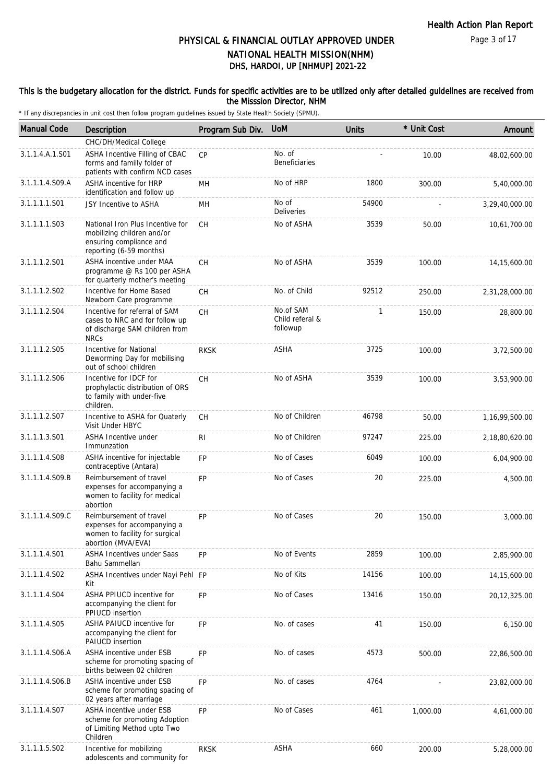#### This is the budgetary allocation for the district. Funds for specific activities are to be utilized only after detailed guidelines are received from the Misssion Director, NHM

| <b>Manual Code</b> | Description                                                                                                          | Program Sub Div. | <b>UOM</b>                               | <b>Units</b> | * Unit Cost | Amount            |
|--------------------|----------------------------------------------------------------------------------------------------------------------|------------------|------------------------------------------|--------------|-------------|-------------------|
|                    | CHC/DH/Medical College                                                                                               |                  |                                          |              |             |                   |
| 3.1.1.4.A.1.S01    | ASHA Incentive Filling of CBAC<br>forms and familly folder of<br>patients with confirm NCD cases                     | CP               | No. of<br><b>Beneficiaries</b>           |              | 10.00       | 48,02,600.00      |
| 3.1.1.1.4.S09.A    | <b>ASHA incentive for HRP</b><br>identification and follow up                                                        | MН               | No of HRP                                | 1800         | 300.00      | 5,40,000.00       |
| 3.1.1.1.1.S01      | JSY Incentive to ASHA                                                                                                | MН               | No of<br>Deliveries                      | 54900        |             | 3,29,40,000.00    |
| 3.1.1.1.1.S03      | National Iron Plus Incentive for<br>mobilizing children and/or<br>ensuring compliance and<br>reporting (6-59 months) | CH               | No of ASHA                               | 3539         | 50.00       | 10,61,700.00      |
| 3.1.1.1.2.S01      | ASHA incentive under MAA<br>programme @ Rs 100 per ASHA<br>for quarterly mother's meeting                            | СH               | No of ASHA                               | 3539         | 100.00      | 14, 15, 600.00    |
| 3.1.1.1.2.S02      | Incentive for Home Based<br>Newborn Care programme                                                                   | СH               | No. of Child                             | 92512        | 250.00      | 2,31,28,000.00    |
| 3.1.1.1.2.S04      | Incentive for referral of SAM<br>cases to NRC and for follow up<br>of discharge SAM children from<br><b>NRCs</b>     | <b>CH</b>        | No.of SAM<br>Child referal &<br>followup | $\mathbf{1}$ | 150.00      | 28,800.00         |
| 3.1.1.1.2.S05      | Incentive for National<br>Deworming Day for mobilising<br>out of school children                                     | <b>RKSK</b>      | <b>ASHA</b>                              | 3725         | 100.00      | 3,72,500.00       |
| 3.1.1.1.2.S06      | Incentive for IDCF for<br>prophylactic distribution of ORS<br>to family with under-five<br>children.                 | <b>CH</b>        | No of ASHA                               | 3539         | 100.00      | 3,53,900.00       |
| 3.1.1.1.2.S07      | Incentive to ASHA for Quaterly<br>Visit Under HBYC                                                                   | СH               | No of Children                           | 46798        | 50.00       | 1, 16, 99, 500.00 |
| 3.1.1.1.3.S01      | ASHA Incentive under<br>Immunzation                                                                                  | R <sub>l</sub>   | No of Children                           | 97247        | 225.00      | 2,18,80,620.00    |
| 3.1.1.1.4.S08      | ASHA incentive for injectable<br>contraceptive (Antara)                                                              | FP               | No of Cases                              | 6049         | 100.00      | 6,04,900.00       |
| 3.1.1.1.4.S09.B    | Reimbursement of travel<br>expenses for accompanying a<br>women to facility for medical<br>abortion                  | <b>FP</b>        | No of Cases                              | 20           | 225.00      | 4,500.00          |
| 3.1.1.1.4.S09.C    | Reimbursement of travel<br>expenses for accompanying a<br>women to facility for surgical<br>abortion (MVA/EVA)       | <b>FP</b>        | No of Cases                              | 20           | 150.00      | 3,000.00          |
| 3.1.1.1.4.S01      | ASHA Incentives under Saas<br>Bahu Sammellan                                                                         | <b>FP</b>        | No of Events                             | 2859         | 100.00      | 2,85,900.00       |
| 3.1.1.1.4.S02      | ASHA Incentives under Nayi Pehl FP<br>Kit                                                                            |                  | No of Kits                               | 14156        | 100.00      | 14, 15, 600.00    |
| 3.1.1.1.4.S04      | ASHA PPIUCD incentive for<br>accompanying the client for<br>PPIUCD insertion                                         | FP               | No of Cases                              | 13416        | 150.00      | 20, 12, 325.00    |
| 3.1.1.1.4.S05      | ASHA PAIUCD incentive for<br>accompanying the client for<br><b>PAIUCD</b> insertion                                  | <b>FP</b>        | No. of cases                             | 41           | 150.00      | 6,150.00          |
| 3.1.1.1.4.S06.A    | ASHA incentive under ESB<br>scheme for promoting spacing of<br>births between 02 children                            | FP               | No. of cases                             | 4573         | 500.00      | 22,86,500.00      |
| 3.1.1.1.4.S06.B    | ASHA incentive under ESB<br>scheme for promoting spacing of<br>02 years after marriage                               | <b>FP</b>        | No. of cases                             | 4764         |             | 23,82,000.00      |
| 3.1.1.1.4.S07      | ASHA incentive under ESB<br>scheme for promoting Adoption<br>of Limiting Method upto Two<br>Children                 | <b>FP</b>        | No of Cases                              | 461          | 1,000.00    | 4,61,000.00       |
| 3.1.1.1.5.S02      | Incentive for mobilizing<br>adolescents and community for                                                            | <b>RKSK</b>      | <b>ASHA</b>                              | 660          | 200.00      | 5,28,000.00       |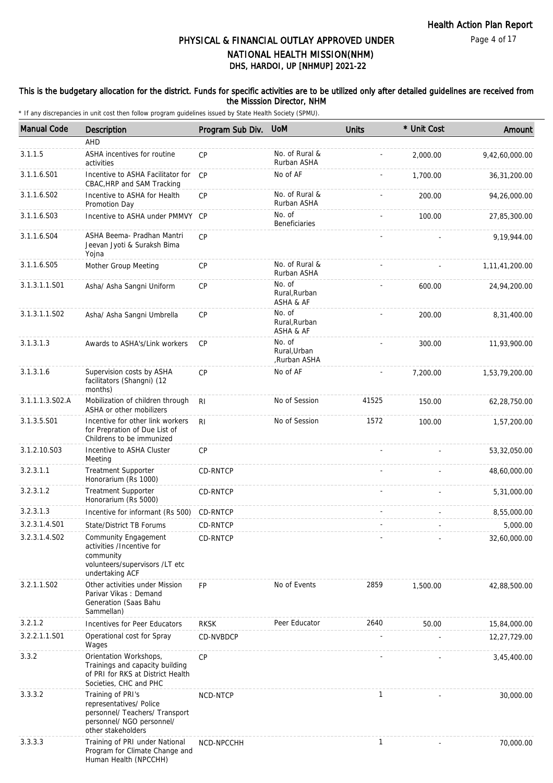#### This is the budgetary allocation for the district. Funds for specific activities are to be utilized only after detailed guidelines are received from the Misssion Director, NHM

| <b>Manual Code</b> | Description                                                                                                                       | Program Sub Div. | <b>UoM</b>                             | <b>Units</b> | * Unit Cost | Amount         |
|--------------------|-----------------------------------------------------------------------------------------------------------------------------------|------------------|----------------------------------------|--------------|-------------|----------------|
|                    | AHD                                                                                                                               |                  |                                        |              |             |                |
| 3.1.1.5            | ASHA incentives for routine<br>activities                                                                                         | CP               | No. of Rural &<br>Rurban ASHA          |              | 2,000.00    | 9,42,60,000.00 |
| 3.1.1.6.S01        | Incentive to ASHA Facilitator for<br>CBAC, HRP and SAM Tracking                                                                   | <b>CP</b>        | No of AF                               |              | 1,700.00    | 36, 31, 200.00 |
| 3.1.1.6.S02        | Incentive to ASHA for Health<br>Promotion Day                                                                                     | CP               | No. of Rural &<br>Rurban ASHA          |              | 200.00      | 94,26,000.00   |
| 3.1.1.6.S03        | Incentive to ASHA under PMMVY                                                                                                     | CP               | No. of<br><b>Beneficiaries</b>         |              | 100.00      | 27,85,300.00   |
| 3.1.1.6.S04        | ASHA Beema- Pradhan Mantri<br>Jeevan Jyoti & Suraksh Bima<br>Yojna                                                                | CP               |                                        |              |             | 9,19,944.00    |
| 3.1.1.6.S05        | Mother Group Meeting                                                                                                              | CP               | No. of Rural &<br>Rurban ASHA          |              |             | 1,11,41,200.00 |
| 3.1.3.1.1.S01      | Asha/ Asha Sangni Uniform                                                                                                         | <b>CP</b>        | No. of<br>Rural, Rurban<br>ASHA & AF   |              | 600.00      | 24,94,200.00   |
| 3.1.3.1.1.S02      | Asha/ Asha Sangni Umbrella                                                                                                        | CP               | No. of<br>Rural, Rurban<br>ASHA & AF   |              | 200.00      | 8,31,400.00    |
| 3.1.3.1.3          | Awards to ASHA's/Link workers                                                                                                     | <b>CP</b>        | No. of<br>Rural, Urban<br>,Rurban ASHA |              | 300.00      | 11,93,900.00   |
| 3.1.3.1.6          | Supervision costs by ASHA<br>facilitators (Shangni) (12<br>months)                                                                | CP               | No of AF                               |              | 7,200.00    | 1,53,79,200.00 |
| 3.1.1.1.3.S02.A    | Mobilization of children through<br>ASHA or other mobilizers                                                                      | R <sub>l</sub>   | No of Session                          | 41525        | 150.00      | 62,28,750.00   |
| 3.1.3.5.S01        | Incentive for other link workers<br>for Prepration of Due List of<br>Childrens to be immunized                                    | R <sub>l</sub>   | No of Session                          | 1572         | 100.00      | 1,57,200.00    |
| 3.1.2.10.S03       | Incentive to ASHA Cluster<br>Meeting                                                                                              | CP               |                                        |              |             | 53,32,050.00   |
| 3.2.3.1.1          | <b>Treatment Supporter</b><br>Honorarium (Rs 1000)                                                                                | CD-RNTCP         |                                        |              |             | 48,60,000.00   |
| 3.2.3.1.2          | <b>Treatment Supporter</b><br>Honorarium (Rs 5000)                                                                                | CD-RNTCP         |                                        |              |             | 5,31,000.00    |
| 3.2.3.1.3          | Incentive for informant (Rs 500)                                                                                                  | CD-RNTCP         |                                        |              |             | 8,55,000.00    |
| 3.2.3.1.4.S01      | State/District TB Forums                                                                                                          | CD-RNTCP         |                                        |              |             | 5,000.00       |
| 3.2.3.1.4.SO2      | Community Engagement<br>activities /Incentive for<br>community<br>volunteers/supervisors /LT etc<br>undertaking ACF               | CD-RNTCP         |                                        |              |             | 32,60,000.00   |
| 3.2.1.1.S02        | Other activities under Mission<br>Parivar Vikas: Demand<br>Generation (Saas Bahu<br>Sammellan)                                    | <b>FP</b>        | No of Events                           | 2859         | 1,500.00    | 42,88,500.00   |
| 3.2.1.2            | Incentives for Peer Educators                                                                                                     | <b>RKSK</b>      | Peer Educator                          | 2640         | 50.00       | 15,84,000.00   |
| 3.2.2.1.1.S01      | Operational cost for Spray<br>Wages                                                                                               | CD-NVBDCP        |                                        |              |             | 12,27,729.00   |
| 3.3.2              | Orientation Workshops,<br>Trainings and capacity building<br>of PRI for RKS at District Health<br>Societies, CHC and PHC          | CP               |                                        |              |             | 3,45,400.00    |
| 3.3.3.2            | Training of PRI's<br>representatives/ Police<br>personnel/ Teachers/ Transport<br>personnel/ NGO personnel/<br>other stakeholders | NCD-NTCP         |                                        | $\mathbf{1}$ |             | 30,000.00      |
| 3.3.3.3            | Training of PRI under National<br>Program for Climate Change and<br>Human Health (NPCCHH)                                         | NCD-NPCCHH       |                                        | $\mathbf{1}$ |             | 70,000.00      |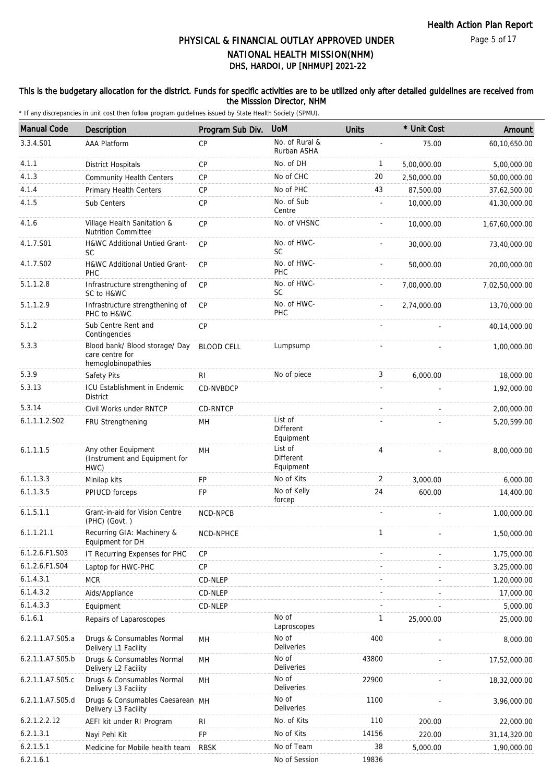### This is the budgetary allocation for the district. Funds for specific activities are to be utilized only after detailed guidelines are received from the Misssion Director, NHM

| <b>Manual Code</b> | <b>Description</b>                                                      | Program Sub Div.  | <b>UoM</b>                        | <b>Units</b>   | * Unit Cost | Amount         |
|--------------------|-------------------------------------------------------------------------|-------------------|-----------------------------------|----------------|-------------|----------------|
| 3.3.4.S01          | <b>AAA Platform</b>                                                     | <b>CP</b>         | No. of Rural &<br>Rurban ASHA     |                | 75.00       | 60,10,650.00   |
| 4.1.1              | <b>District Hospitals</b>                                               | <b>CP</b>         | No. of DH                         | 1              | 5,00,000.00 | 5,00,000.00    |
| 4.1.3              | <b>Community Health Centers</b>                                         | CP                | No of CHC                         | 20             | 2,50,000.00 | 50,00,000.00   |
| 4.1.4              | Primary Health Centers                                                  | <b>CP</b>         | No of PHC                         | 43             | 87,500.00   | 37,62,500.00   |
| 4.1.5              | Sub Centers                                                             | <b>CP</b>         | No. of Sub<br>Centre              |                | 10,000.00   | 41,30,000.00   |
| 4.1.6              | Village Health Sanitation &<br><b>Nutrition Committee</b>               | <b>CP</b>         | No. of VHSNC                      |                | 10,000.00   | 1,67,60,000.00 |
| 4.1.7.S01          | H&WC Additional Untied Grant-<br><b>SC</b>                              | <b>CP</b>         | No. of HWC-<br><b>SC</b>          |                | 30,000.00   | 73,40,000.00   |
| 4.1.7.S02          | H&WC Additional Untied Grant-<br>PHC                                    | <b>CP</b>         | No. of HWC-<br>PHC                |                | 50,000.00   | 20,00,000.00   |
| 5.1.1.2.8          | Infrastructure strengthening of<br>SC to H&WC                           | <b>CP</b>         | No. of HWC-<br><b>SC</b>          |                | 7,00,000.00 | 7,02,50,000.00 |
| 5.1.1.2.9          | Infrastructure strengthening of<br>PHC to H&WC                          | <b>CP</b>         | No. of HWC-<br>PHC                |                | 2,74,000.00 | 13,70,000.00   |
| 5.1.2              | Sub Centre Rent and<br>Contingencies                                    | CP                |                                   |                |             | 40,14,000.00   |
| 5.3.3              | Blood bank/ Blood storage/ Day<br>care centre for<br>hemoglobinopathies | <b>BLOOD CELL</b> | Lumpsump                          |                |             | 1,00,000.00    |
| 5.3.9              | Safety Pits                                                             | R <sub>l</sub>    | No of piece                       | 3              | 6.000.00    | 18,000.00      |
| 5.3.13             | ICU Establishment in Endemic<br><b>District</b>                         | CD-NVBDCP         |                                   |                |             | 1,92,000.00    |
| 5.3.14             | Civil Works under RNTCP                                                 | CD-RNTCP          |                                   |                |             | 2,00,000.00    |
| 6.1.1.1.2.S02      | FRU Strengthening                                                       | MН                | List of<br>Different<br>Equipment |                |             | 5,20,599.00    |
| 6.1.1.1.5          | Any other Equipment<br>(Instrument and Equipment for<br>HWC)            | MH                | List of<br>Different<br>Equipment | $\overline{4}$ |             | 8,00,000.00    |
| 6.1.1.3.3          | Minilap kits                                                            | <b>FP</b>         | No of Kits                        | 2              | 3,000.00    | 6,000.00       |
| 6.1.1.3.5          | PPIUCD forceps                                                          | FP                | No of Kelly<br>forcep             | 24             | 600.00      | 14,400.00      |
| 6.1.5.1.1          | Grant-in-aid for Vision Centre<br>(PHC) (Govt.)                         | <b>NCD-NPCB</b>   |                                   |                |             | 1,00,000.00    |
| 6.1.1.21.1         | Recurring GIA: Machinery &<br>Equipment for DH                          | NCD-NPHCE         |                                   | $\mathbf 1$    |             | 1,50,000.00    |
| 6.1.2.6.F1.S03     | IT Recurring Expenses for PHC                                           | <b>CP</b>         |                                   |                |             | 1,75,000.00    |
| 6.1.2.6.F1.S04     | Laptop for HWC-PHC                                                      | CP                |                                   |                |             | 3,25,000.00    |
| 6.1.4.3.1          | <b>MCR</b>                                                              | CD-NLEP           |                                   |                |             | 1,20,000.00    |
| 6.1.4.3.2          | Aids/Appliance                                                          | CD-NLEP           |                                   |                |             | 17,000.00      |
| 6.1.4.3.3          | Equipment                                                               | CD-NLEP           |                                   |                |             | 5,000.00       |
| 6.1.6.1            | Repairs of Laparoscopes                                                 |                   | No of<br>Laproscopes              | 1              | 25,000.00   | 25,000.00      |
| 6.2.1.1.A7.S05.a   | Drugs & Consumables Normal<br>Delivery L1 Facility                      | MH                | No of<br>Deliveries               | 400            |             | 8,000.00       |
| 6.2.1.1.A7.S05.b   | Drugs & Consumables Normal<br>Delivery L2 Facility                      | MH                | No of<br>Deliveries               | 43800          |             | 17,52,000.00   |
| 6.2.1.1.A7.S05.c   | Drugs & Consumables Normal<br>Delivery L3 Facility                      | MH                | No of<br>Deliveries               | 22900          |             | 18,32,000.00   |
| 6.2.1.1.A7.S05.d   | Drugs & Consumables Caesarean MH<br>Delivery L3 Facility                |                   | No of<br>Deliveries               | 1100           |             | 3,96,000.00    |
| 6.2.1.2.2.12       | AEFI kit under RI Program                                               | <b>RI</b>         | No. of Kits                       | 110            | 200.00      | 22,000.00      |
| 6.2.1.3.1          | Nayi Pehl Kit                                                           | FP                | No of Kits                        | 14156          | 220.00      | 31, 14, 320.00 |
| 6.2.1.5.1          | Medicine for Mobile health team                                         | <b>RBSK</b>       | No of Team                        | 38             | 5,000.00    | 1,90,000.00    |
| 6.2.1.6.1          |                                                                         |                   | No of Session                     | 19836          |             |                |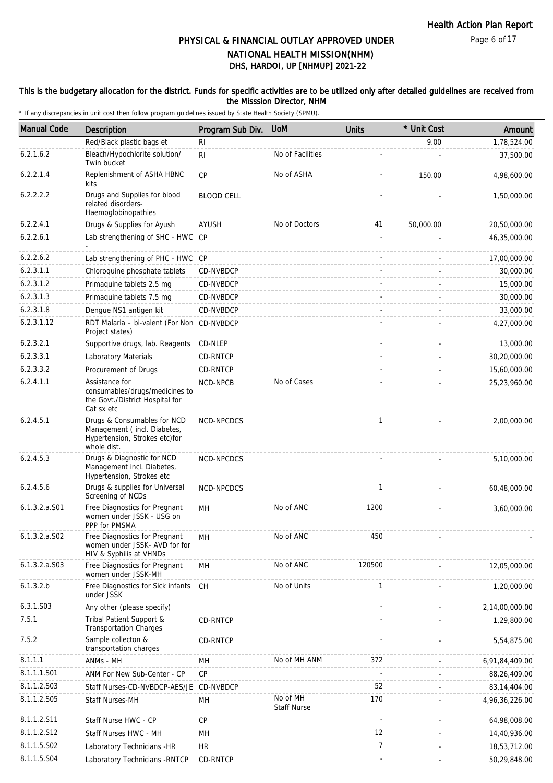#### This is the budgetary allocation for the district. Funds for specific activities are to be utilized only after detailed guidelines are received from the Misssion Director, NHM

| <b>Manual Code</b> | Description                                                                                                | Program Sub Div.  | <b>UoM</b>                     | <b>Units</b>   | * Unit Cost | Amount         |
|--------------------|------------------------------------------------------------------------------------------------------------|-------------------|--------------------------------|----------------|-------------|----------------|
|                    | Red/Black plastic bags et                                                                                  | R <sub>l</sub>    |                                |                | 9.00        | 1,78,524.00    |
| 6.2.1.6.2          | Bleach/Hypochlorite solution/<br>Twin bucket                                                               | R <sub>1</sub>    | No of Facilities               |                |             | 37,500.00      |
| 6.2.2.1.4          | Replenishment of ASHA HBNC<br>kits                                                                         | CP                | No of ASHA                     |                | 150.00      | 4,98,600.00    |
| 6.2.2.2.2          | Drugs and Supplies for blood<br>related disorders-<br>Haemoglobinopathies                                  | <b>BLOOD CELL</b> |                                |                |             | 1,50,000.00    |
| 6.2.2.4.1          | Drugs & Supplies for Ayush                                                                                 | AYUSH             | No of Doctors                  | 41             | 50,000.00   | 20,50,000.00   |
| 6.2.2.6.1          | Lab strengthening of SHC - HWC CP                                                                          |                   |                                |                |             | 46,35,000.00   |
| 6.2.2.6.2          | Lab strengthening of PHC - HWC CP                                                                          |                   |                                |                |             | 17,00,000.00   |
| 6.2.3.1.1          | Chloroquine phosphate tablets                                                                              | CD-NVBDCP         |                                |                |             | 30,000.00      |
| 6.2.3.1.2          | Primaquine tablets 2.5 mg                                                                                  | CD-NVBDCP         |                                |                |             | 15,000.00      |
| 6.2.3.1.3          | Primaquine tablets 7.5 mg                                                                                  | CD-NVBDCP         |                                |                |             | 30,000.00      |
| 6.2.3.1.8          | Dengue NS1 antigen kit                                                                                     | CD-NVBDCP         |                                |                |             | 33,000.00      |
| 6.2.3.1.12         | RDT Malaria - bi-valent (For Non CD-NVBDCP<br>Project states)                                              |                   |                                |                |             | 4,27,000.00    |
| 6.2.3.2.1          | Supportive drugs, lab. Reagents                                                                            | CD-NLEP           |                                |                |             | 13,000.00      |
| 6.2.3.3.1          | Laboratory Materials                                                                                       | CD-RNTCP          |                                |                |             | 30,20,000.00   |
| 6.2.3.3.2          | Procurement of Drugs                                                                                       | CD-RNTCP          |                                |                |             | 15,60,000.00   |
| 6.2.4.1.1          | Assistance for<br>consumables/drugs/medicines to<br>the Govt./District Hospital for<br>Cat sx etc          | NCD-NPCB          | No of Cases                    |                |             | 25,23,960.00   |
| 6.2.4.5.1          | Drugs & Consumables for NCD<br>Management (incl. Diabetes,<br>Hypertension, Strokes etc)for<br>whole dist. | NCD-NPCDCS        |                                | $\mathbf{1}$   |             | 2,00,000.00    |
| 6.2.4.5.3          | Drugs & Diagnostic for NCD<br>Management incl. Diabetes,<br>Hypertension, Strokes etc                      | NCD-NPCDCS        |                                |                |             | 5,10,000.00    |
| 6.2.4.5.6          | Drugs & supplies for Universal<br>Screening of NCDs                                                        | NCD-NPCDCS        |                                | $\mathbf{1}$   |             | 60,48,000.00   |
| 6.1.3.2.a.S01      | Free Diagnostics for Pregnant<br>women under JSSK - USG on<br>PPP for PMSMA                                | MН                | No of ANC                      | 1200           |             | 3,60,000.00    |
| $6.1.3.2.a.$ SO2   | Free Diagnostics for Pregnant<br>women under JSSK- AVD for for<br>HIV & Syphilis at VHNDs                  | MН                | No of ANC                      | 450            |             |                |
| 6.1.3.2.a.S03      | Free Diagnostics for Pregnant<br>women under JSSK-MH                                                       | MH                | No of ANC                      | 120500         |             | 12,05,000.00   |
| 6.1.3.2.b          | Free Diagnostics for Sick infants<br>under JSSK                                                            | <b>CH</b>         | No of Units                    | $\mathbf{1}$   |             | 1,20,000.00    |
| 6.3.1.S03          | Any other (please specify)                                                                                 |                   |                                |                |             | 2,14,00,000.00 |
| 7.5.1              | Tribal Patient Support &<br><b>Transportation Charges</b>                                                  | CD-RNTCP          |                                |                |             | 1,29,800.00    |
| 7.5.2              | Sample collecton &<br>transportation charges                                                               | CD-RNTCP          |                                |                |             | 5,54,875.00    |
| 8.1.1.1            | ANMs - MH                                                                                                  | MН                | No of MH ANM                   | 372            |             | 6,91,84,409.00 |
| 8.1.1.1.S01        | ANM For New Sub-Center - CP                                                                                | CP                |                                |                |             | 88,26,409.00   |
| 8.1.1.2.S03        | Staff Nurses-CD-NVBDCP-AES/JE                                                                              | CD-NVBDCP         |                                | 52             |             | 83, 14, 404.00 |
| 8.1.1.2.S05        | Staff Nurses-MH                                                                                            | MH                | No of MH<br><b>Staff Nurse</b> | 170            |             | 4,96,36,226.00 |
| 8.1.1.2.S11        | Staff Nurse HWC - CP                                                                                       | CP                |                                |                |             | 64,98,008.00   |
| 8.1.1.2.S12        | Staff Nurses HWC - MH                                                                                      | MH                |                                | 12             |             | 14,40,936.00   |
| 8.1.1.5.S02        | Laboratory Technicians -HR                                                                                 | <b>HR</b>         |                                | $\overline{7}$ |             | 18,53,712.00   |
| 8.1.1.5.S04        | Laboratory Technicians - RNTCP                                                                             | CD-RNTCP          |                                |                |             | 50,29,848.00   |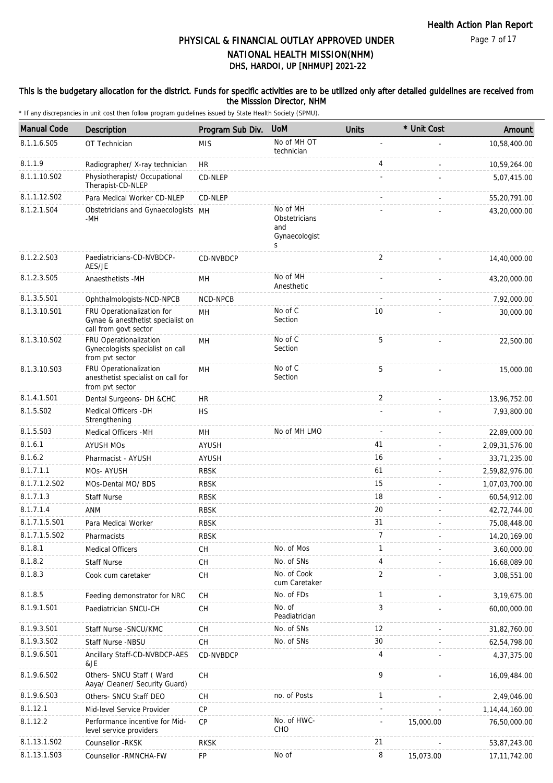#### This is the budgetary allocation for the district. Funds for specific activities are to be utilized only after detailed guidelines are received from the Misssion Director, NHM

| <b>Manual Code</b>        | <b>Description</b>                                                                       | Program Sub Div. | <b>UoM</b>                                             | <b>Units</b>   | * Unit Cost | Amount            |
|---------------------------|------------------------------------------------------------------------------------------|------------------|--------------------------------------------------------|----------------|-------------|-------------------|
| 8.1.1.6.S05               | OT Technician                                                                            | <b>MIS</b>       | No of MH OT<br>technician                              |                |             | 10,58,400.00      |
| 8.1.1.9                   | Radiographer/ X-ray technician                                                           | <b>HR</b>        |                                                        | 4              |             | 10,59,264.00      |
| 8.1.1.10.S02              | Physiotherapist/ Occupational<br>Therapist-CD-NLEP                                       | CD-NLEP          |                                                        |                |             | 5,07,415.00       |
| 8.1.1.12.S02              | Para Medical Worker CD-NLEP                                                              | CD-NLEP          |                                                        |                |             | 55,20,791.00      |
| 8.1.2.1.S04               | Obstetricians and Gynaecologists MH<br>-MH                                               |                  | No of MH<br>Obstetricians<br>and<br>Gynaecologist<br>S |                |             | 43,20,000.00      |
| 8.1.2.2.S03               | Paediatricians-CD-NVBDCP-<br>AES/JE                                                      | CD-NVBDCP        |                                                        | 2              |             | 14,40,000.00      |
| 8.1.2.3.S05               | Anaesthetists -MH                                                                        | MН               | No of MH<br>Anesthetic                                 |                |             | 43,20,000.00      |
| 8.1.3.5.S01               | Ophthalmologists-NCD-NPCB                                                                | NCD-NPCB         |                                                        |                |             | 7,92,000.00       |
| 8.1.3.10.S01              | FRU Operationalization for<br>Gynae & anesthetist specialist on<br>call from govt sector | MH               | No of C<br>Section                                     | 10             |             | 30,000.00         |
| 8.1.3.10.S02              | FRU Operationalization<br>Gynecologists specialist on call<br>from pvt sector            | MН               | No of C<br>Section                                     | 5              |             | 22,500.00         |
| 8.1.3.10.S03              | FRU Operationalization<br>anesthetist specialist on call for<br>from pvt sector          | MH               | No of C<br>Section                                     | 5              |             | 15,000.00         |
| 8.1.4.1.S01               | Dental Surgeons- DH &CHC                                                                 | <b>HR</b>        |                                                        | $\overline{2}$ |             | 13,96,752.00      |
| 8.1.5.S02                 | Medical Officers - DH<br>Strengthening                                                   | <b>HS</b>        |                                                        |                |             | 7,93,800.00       |
| 8.1.5.S03                 | Medical Officers -MH                                                                     | MH               | No of MH LMO                                           |                |             | 22,89,000.00      |
| 8.1.6.1                   | <b>AYUSH MOS</b>                                                                         | <b>AYUSH</b>     |                                                        | 41             |             | 2,09,31,576.00    |
| 8.1.6.2                   | Pharmacist - AYUSH                                                                       | <b>AYUSH</b>     |                                                        | 16             |             | 33,71,235.00      |
| 8.1.7.1.1                 | MOs- AYUSH                                                                               | <b>RBSK</b>      |                                                        | 61             |             | 2,59,82,976.00    |
| 8.1.7.1.2.S02             | MOs-Dental MO/ BDS                                                                       | <b>RBSK</b>      |                                                        | 15             |             | 1,07,03,700.00    |
| 8.1.7.1.3                 | <b>Staff Nurse</b>                                                                       | <b>RBSK</b>      |                                                        | 18             |             | 60,54,912.00      |
| 8.1.7.1.4                 | ANM                                                                                      | <b>RBSK</b>      |                                                        | 20             |             | 42,72,744.00      |
| 8.1.7.1.5.S01             | Para Medical Worker                                                                      | <b>RBSK</b>      |                                                        | 31             |             | 75,08,448.00      |
| 8.1.7.1.5.SO <sub>2</sub> | Pharmacists                                                                              | <b>RBSK</b>      |                                                        | 7              |             | 14,20,169.00      |
| 8.1.8.1                   | <b>Medical Officers</b>                                                                  | CH               | No. of Mos                                             | $\mathbf{1}$   |             | 3,60,000.00       |
| 8.1.8.2                   | <b>Staff Nurse</b>                                                                       | CH               | No. of SNs                                             | 4              |             | 16,68,089.00      |
| 8.1.8.3                   | Cook cum caretaker                                                                       | CH               | No. of Cook<br>cum Caretaker                           | $\overline{2}$ |             | 3,08,551.00       |
| 8.1.8.5                   | Feeding demonstrator for NRC                                                             | CH               | No. of FDs                                             | 1              |             | 3,19,675.00       |
| 8.1.9.1.S01               | Paediatrician SNCU-CH                                                                    | <b>CH</b>        | No. of<br>Peadiatrician                                | 3              |             | 60,00,000.00      |
| 8.1.9.3.S01               | Staff Nurse - SNCU/KMC                                                                   | CH               | No. of SNs                                             | 12             |             | 31,82,760.00      |
| 8.1.9.3.SO2               | Staff Nurse -NBSU                                                                        | CH               | No. of SNs                                             | 30             |             | 62,54,798.00      |
| 8.1.9.6.S01               | Ancillary Staff-CD-NVBDCP-AES<br>&JE                                                     | CD-NVBDCP        |                                                        | $\overline{4}$ |             | 4,37,375.00       |
| 8.1.9.6.S02               | Others- SNCU Staff (Ward<br>Aaya/ Cleaner/ Security Guard)                               | СH               |                                                        | 9              |             | 16,09,484.00      |
| 8.1.9.6.S03               | Others- SNCU Staff DEO                                                                   | <b>CH</b>        | no. of Posts                                           | $\mathbf{1}$   |             | 2,49,046.00       |
| 8.1.12.1                  | Mid-level Service Provider                                                               | CP               |                                                        |                |             | 1, 14, 44, 160.00 |
| 8.1.12.2                  | Performance incentive for Mid-<br>level service providers                                | CP               | No. of HWC-<br>CHO                                     |                | 15,000.00   | 76,50,000.00      |
| 8.1.13.1.S02              | Counsellor - RKSK                                                                        | <b>RKSK</b>      |                                                        | 21             |             | 53,87,243.00      |
| 8.1.13.1.S03              | Counsellor - RMNCHA-FW                                                                   | FP               | No of                                                  | 8              | 15,073.00   | 17, 11, 742.00    |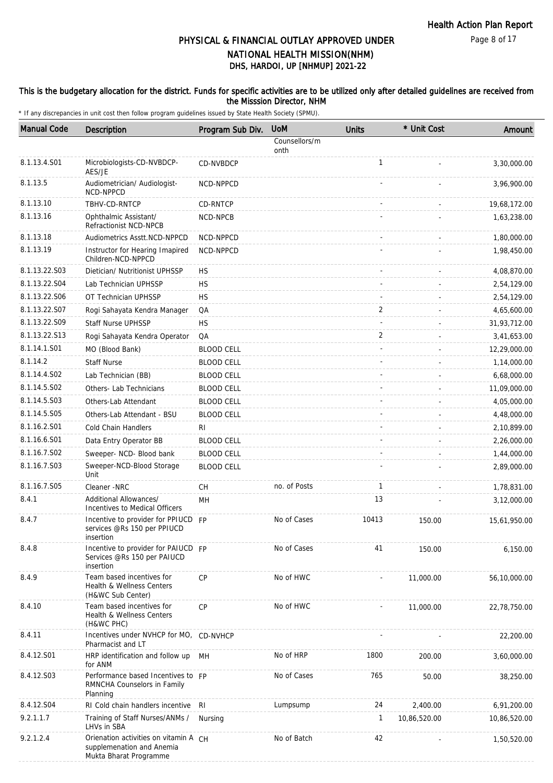#### This is the budgetary allocation for the district. Funds for specific activities are to be utilized only after detailed guidelines are received from the Misssion Director, NHM

| <b>Manual Code</b> | Description                                                                                  | Program Sub Div.  | <b>UoM</b>            | <b>Units</b>   | * Unit Cost  | Amount       |
|--------------------|----------------------------------------------------------------------------------------------|-------------------|-----------------------|----------------|--------------|--------------|
|                    |                                                                                              |                   | Counsellors/m<br>onth |                |              |              |
| 8.1.13.4.S01       | Microbiologists-CD-NVBDCP-<br>AES/JE                                                         | CD-NVBDCP         |                       | $\mathbf{1}$   |              | 3,30,000.00  |
| 8.1.13.5           | Audiometrician/ Audiologist-<br>NCD-NPPCD                                                    | NCD-NPPCD         |                       |                |              | 3,96,900.00  |
| 8.1.13.10          | TBHV-CD-RNTCP                                                                                | CD-RNTCP          |                       |                |              | 19,68,172.00 |
| 8.1.13.16          | Ophthalmic Assistant/<br>Refractionist NCD-NPCB                                              | NCD-NPCB          |                       |                |              | 1,63,238.00  |
| 8.1.13.18          | Audiometrics Asstt.NCD-NPPCD                                                                 | NCD-NPPCD         |                       |                |              | 1,80,000.00  |
| 8.1.13.19          | Instructor for Hearing Imapired<br>Children-NCD-NPPCD                                        | NCD-NPPCD         |                       |                |              | 1,98,450.00  |
| 8.1.13.22.S03      | Dietician/ Nutritionist UPHSSP                                                               | <b>HS</b>         |                       |                |              | 4,08,870.00  |
| 8.1.13.22.S04      | Lab Technician UPHSSP                                                                        | НS                |                       |                |              | 2,54,129.00  |
| 8.1.13.22.S06      | OT Technician UPHSSP                                                                         | <b>HS</b>         |                       |                |              | 2,54,129.00  |
| 8.1.13.22.S07      | Rogi Sahayata Kendra Manager                                                                 | QA                |                       | $\overline{2}$ |              | 4,65,600.00  |
| 8.1.13.22.S09      | Staff Nurse UPHSSP                                                                           | <b>HS</b>         |                       |                |              | 31,93,712.00 |
| 8.1.13.22.S13      | Rogi Sahayata Kendra Operator                                                                | QA                |                       | 2              |              | 3,41,653.00  |
| 8.1.14.1.S01       | MO (Blood Bank)                                                                              | <b>BLOOD CELL</b> |                       |                |              | 12,29,000.00 |
| 8.1.14.2           | <b>Staff Nurse</b>                                                                           | <b>BLOOD CELL</b> |                       |                |              | 1,14,000.00  |
| 8.1.14.4.S02       | Lab Technician (BB)                                                                          | <b>BLOOD CELL</b> |                       |                |              | 6,68,000.00  |
| 8.1.14.5.S02       | Others- Lab Technicians                                                                      | <b>BLOOD CELL</b> |                       |                |              | 11,09,000.00 |
| 8.1.14.5.S03       | Others-Lab Attendant                                                                         | <b>BLOOD CELL</b> |                       |                |              | 4,05,000.00  |
| 8.1.14.5.S05       | Others-Lab Attendant - BSU                                                                   | <b>BLOOD CELL</b> |                       |                |              | 4,48,000.00  |
| 8.1.16.2.S01       | Cold Chain Handlers                                                                          | RI                |                       |                |              | 2,10,899.00  |
| 8.1.16.6.S01       | Data Entry Operator BB                                                                       | <b>BLOOD CELL</b> |                       |                |              | 2,26,000.00  |
| 8.1.16.7.S02       | Sweeper- NCD- Blood bank                                                                     | <b>BLOOD CELL</b> |                       |                |              | 1,44,000.00  |
| 8.1.16.7.S03       | Sweeper-NCD-Blood Storage<br>Unit                                                            | <b>BLOOD CELL</b> |                       |                |              | 2,89,000.00  |
| 8.1.16.7.S05       | Cleaner -NRC                                                                                 | <b>CH</b>         | no. of Posts          | $\mathbf{1}$   |              | 1,78,831.00  |
| 8.4.1              | Additional Allowances/<br>Incentives to Medical Officers                                     | MH                |                       | 13             |              | 3,12,000.00  |
| 8.4.7              | Incentive to provider for PPIUCD FP<br>services @Rs 150 per PPIUCD<br>insertion              |                   | No of Cases           | 10413          | 150.00       | 15,61,950.00 |
| 8.4.8              | Incentive to provider for PAIUCD FP<br>Services @Rs 150 per PAIUCD<br>insertion              |                   | No of Cases           | 41             | 150.00       | 6,150.00     |
| 8.4.9              | Team based incentives for<br>Health & Wellness Centers<br>(H&WC Sub Center)                  | CP                | No of HWC             |                | 11,000.00    | 56,10,000.00 |
| 8.4.10             | Team based incentives for<br><b>Health &amp; Wellness Centers</b><br>(H&WC PHC)              | <b>CP</b>         | No of HWC             |                | 11,000.00    | 22,78,750.00 |
| 8.4.11             | Incentives under NVHCP for MO, CD-NVHCP<br>Pharmacist and LT                                 |                   |                       |                |              | 22,200.00    |
| 8.4.12.S01         | HRP identification and follow up<br>for ANM                                                  | MH                | No of HRP             | 1800           | 200.00       | 3,60,000.00  |
| 8.4.12.S03         | Performance based Incentives to FP<br>RMNCHA Counselors in Family<br>Planning                |                   | No of Cases           | 765            | 50.00        | 38,250.00    |
| 8.4.12.S04         | RI Cold chain handlers incentive RI                                                          |                   | Lumpsump              | 24             | 2,400.00     | 6,91,200.00  |
| 9.2.1.1.7          | Training of Staff Nurses/ANMs /<br>LHVs in SBA                                               | Nursing           |                       | 1              | 10,86,520.00 | 10,86,520.00 |
| 9.2.1.2.4          | Orienation activities on vitamin A CH<br>supplemenation and Anemia<br>Mukta Bharat Programme |                   | No of Batch           | 42             |              | 1,50,520.00  |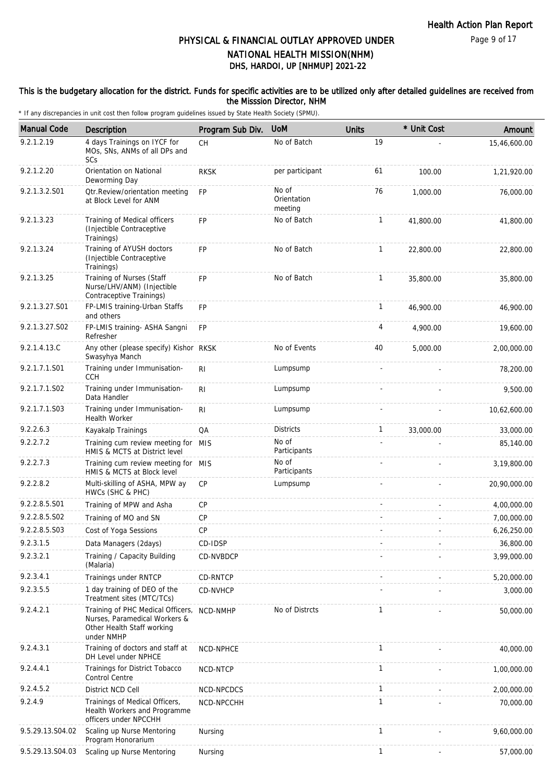#### This is the budgetary allocation for the district. Funds for specific activities are to be utilized only after detailed guidelines are received from the Misssion Director, NHM

| <b>Manual Code</b> | Description                                                                                                    | Program Sub Div. | <b>UoM</b>                      | <b>Units</b> | * Unit Cost | Amount       |
|--------------------|----------------------------------------------------------------------------------------------------------------|------------------|---------------------------------|--------------|-------------|--------------|
| 9.2.1.2.19         | 4 days Trainings on IYCF for<br>MOs. SNs. ANMs of all DPs and<br>SCs                                           | <b>CH</b>        | No of Batch                     | 19           |             | 15,46,600.00 |
| 9.2.1.2.20         | Orientation on National<br>Deworming Day                                                                       | <b>RKSK</b>      | per participant                 | 61           | 100.00      | 1,21,920.00  |
| 9.2.1.3.2.S01      | Otr.Review/orientation meeting<br>at Block Level for ANM                                                       | <b>FP</b>        | No of<br>Orientation<br>meeting | 76           | 1,000.00    | 76,000.00    |
| 9.2.1.3.23         | Training of Medical officers<br>(Injectible Contraceptive<br>Trainings)                                        | <b>FP</b>        | No of Batch                     | $\mathbf{1}$ | 41,800.00   | 41,800.00    |
| 9.2.1.3.24         | Training of AYUSH doctors<br>(Injectible Contraceptive<br>Trainings)                                           | <b>FP</b>        | No of Batch                     | $\mathbf{1}$ | 22,800.00   | 22,800.00    |
| 9.2.1.3.25         | Training of Nurses (Staff<br>Nurse/LHV/ANM) (Injectible<br>Contraceptive Trainings)                            | <b>FP</b>        | No of Batch                     | $\mathbf{1}$ | 35,800.00   | 35,800.00    |
| 9.2.1.3.27.S01     | FP-LMIS training-Urban Staffs<br>and others                                                                    | FP               |                                 | $\mathbf{1}$ | 46,900.00   | 46,900.00    |
| 9.2.1.3.27.S02     | FP-LMIS training- ASHA Sangni<br>Refresher                                                                     | <b>FP</b>        |                                 | 4            | 4,900.00    | 19,600.00    |
| 9.2.1.4.13.C       | Any other (please specify) Kishor RKSK<br>Swasyhya Manch                                                       |                  | No of Events                    | 40           | 5,000.00    | 2,00,000.00  |
| 9.2.1.7.1.S01      | Training under Immunisation-<br><b>CCH</b>                                                                     | RI               | Lumpsump                        |              |             | 78,200.00    |
| 9.2.1.7.1.S02      | Training under Immunisation-<br>Data Handler                                                                   | R <sub>1</sub>   | Lumpsump                        |              |             | 9,500.00     |
| 9.2.1.7.1.S03      | Training under Immunisation-<br><b>Health Worker</b>                                                           | R <sub>1</sub>   | Lumpsump                        |              |             | 10,62,600.00 |
| 9.2.2.6.3          | Kayakalp Trainings                                                                                             | QA               | <b>Districts</b>                | $\mathbf{1}$ | 33,000.00   | 33,000.00    |
| 9.2.2.7.2          | Training cum review meeting for MIS<br>HMIS & MCTS at District level                                           |                  | No of<br>Participants           |              |             | 85,140.00    |
| 9.2.2.7.3          | Training cum review meeting for MIS<br>HMIS & MCTS at Block level                                              |                  | No of<br>Participants           |              |             | 3,19,800.00  |
| 9.2.2.8.2          | Multi-skilling of ASHA, MPW ay<br>HWCs (SHC & PHC)                                                             | CP               | Lumpsump                        |              |             | 20,90,000.00 |
| 9.2.2.8.5.S01      | Training of MPW and Asha                                                                                       | CP               |                                 |              |             | 4,00,000.00  |
| 9.2.2.8.5.S02      | Training of MO and SN                                                                                          | CP               |                                 |              |             | 7,00,000.00  |
| 9.2.2.8.5.S03      | Cost of Yoga Sessions                                                                                          | СP               |                                 |              |             | 6,26,250.00  |
| 9.2.3.1.5          | Data Managers (2days)                                                                                          | CD-IDSP          |                                 |              |             | 36,800.00    |
| 9.2.3.2.1          | Training / Capacity Building<br>(Malaria)                                                                      | CD-NVBDCP        |                                 |              |             | 3,99,000.00  |
| 9.2.3.4.1          | Trainings under RNTCP                                                                                          | CD-RNTCP         |                                 |              |             | 5,20,000.00  |
| 9.2.3.5.5          | 1 day training of DEO of the<br>Treatment sites (MTC/TCs)                                                      | CD-NVHCP         |                                 |              |             | 3,000.00     |
| 9.2.4.2.1          | Training of PHC Medical Officers,<br>Nurses, Paramedical Workers &<br>Other Health Staff working<br>under NMHP | NCD-NMHP         | No of Distrcts                  | 1            |             | 50,000.00    |
| 9.2.4.3.1          | Training of doctors and staff at<br>DH Level under NPHCE                                                       | NCD-NPHCE        |                                 | $\mathbf{1}$ |             | 40,000.00    |
| 9.2.4.4.1          | Trainings for District Tobacco<br><b>Control Centre</b>                                                        | NCD-NTCP         |                                 | $\mathbf{1}$ |             | 1,00,000.00  |
| 9.2.4.5.2          | District NCD Cell                                                                                              | NCD-NPCDCS       |                                 | $\mathbf{1}$ |             | 2,00,000.00  |
| 9.2.4.9            | Trainings of Medical Officers,<br>Health Workers and Programme<br>officers under NPCCHH                        | NCD-NPCCHH       |                                 | 1            |             | 70,000.00    |
| 9.5.29.13.S04.02   | Scaling up Nurse Mentoring<br>Program Honorarium                                                               | Nursing          |                                 | $\mathbf{1}$ |             | 9,60,000.00  |
| 9.5.29.13.S04.03   | Scaling up Nurse Mentoring                                                                                     | Nursing          |                                 | $\mathbf{1}$ |             | 57,000.00    |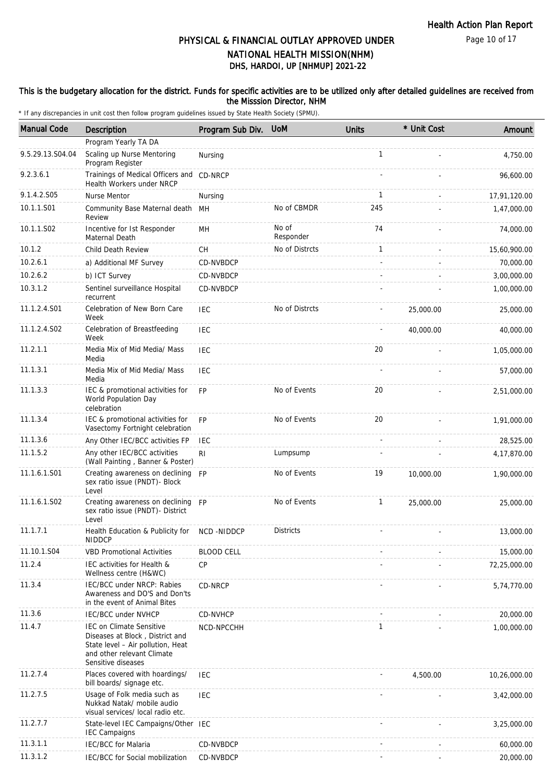Page 10 of 17

## DHS, HARDOI, UP [NHMUP] 2021-22 PHYSICAL & FINANCIAL OUTLAY APPROVED UNDER NATIONAL HEALTH MISSION(NHM)

#### This is the budgetary allocation for the district. Funds for specific activities are to be utilized only after detailed guidelines are received from the Misssion Director, NHM

| <b>Manual Code</b> | <b>Description</b>                                                                                                                                          | Program Sub Div.  | <b>UoM</b>         | <b>Units</b> | * Unit Cost | Amount       |
|--------------------|-------------------------------------------------------------------------------------------------------------------------------------------------------------|-------------------|--------------------|--------------|-------------|--------------|
|                    | Program Yearly TA DA                                                                                                                                        |                   |                    |              |             |              |
| 9.5.29.13.S04.04   | Scaling up Nurse Mentoring<br>Program Register                                                                                                              | Nursing           |                    | $\mathbf{1}$ |             | 4,750.00     |
| 9.2.3.6.1          | Trainings of Medical Officers and CD-NRCP<br>Health Workers under NRCP                                                                                      |                   |                    |              |             | 96,600.00    |
| 9.1.4.2.S05        | <b>Nurse Mentor</b>                                                                                                                                         | Nursing           |                    | $\mathbf{1}$ |             | 17,91,120.00 |
| 10.1.1.S01         | Community Base Maternal death<br>Review                                                                                                                     | MН                | No of CBMDR        | 245          |             | 1,47,000.00  |
| 10.1.1.S02         | Incentive for Ist Responder<br>Maternal Death                                                                                                               | MH                | No of<br>Responder | 74           |             | 74,000.00    |
| 10.1.2             | Child Death Review                                                                                                                                          | <b>CH</b>         | No of Distrcts     | $\mathbf{1}$ |             | 15,60,900.00 |
| 10.2.6.1           | a) Additional MF Survey                                                                                                                                     | CD-NVBDCP         |                    |              |             | 70,000.00    |
| 10.2.6.2           | b) ICT Survey                                                                                                                                               | CD-NVBDCP         |                    |              |             | 3,00,000.00  |
| 10.3.1.2           | Sentinel surveillance Hospital<br>recurrent                                                                                                                 | CD-NVBDCP         |                    |              |             | 1,00,000.00  |
| 11.1.2.4.S01       | Celebration of New Born Care<br>Week                                                                                                                        | <b>IEC</b>        | No of Distrcts     |              | 25,000.00   | 25,000.00    |
| 11.1.2.4.S02       | Celebration of Breastfeeding<br>Week                                                                                                                        | <b>IEC</b>        |                    |              | 40,000.00   | 40,000.00    |
| 11.2.1.1           | Media Mix of Mid Media/ Mass<br>Media                                                                                                                       | <b>IEC</b>        |                    | 20           |             | 1,05,000.00  |
| 11.1.3.1           | Media Mix of Mid Media/ Mass<br>Media                                                                                                                       | <b>IEC</b>        |                    |              |             | 57,000.00    |
| 11.1.3.3           | IEC & promotional activities for<br>World Population Day<br>celebration                                                                                     | <b>FP</b>         | No of Events       | 20           |             | 2,51,000.00  |
| 11.1.3.4           | IEC & promotional activities for<br>Vasectomy Fortnight celebration                                                                                         | <b>FP</b>         | No of Events       | 20           |             | 1,91,000.00  |
| 11.1.3.6           | Any Other IEC/BCC activities FP                                                                                                                             | IEC               |                    |              |             | 28,525.00    |
| 11.1.5.2           | Any other IEC/BCC activities<br>(Wall Painting, Banner & Poster)                                                                                            | RI.               | Lumpsump           |              |             | 4,17,870.00  |
| 11.1.6.1.S01       | Creating awareness on declining<br>sex ratio issue (PNDT)- Block<br>Level                                                                                   | <b>FP</b>         | No of Events       | 19           | 10,000.00   | 1,90,000.00  |
| 11.1.6.1.S02       | Creating awareness on declining FP<br>sex ratio issue (PNDT)- District<br>Level                                                                             |                   | No of Events       | $\mathbf{1}$ | 25,000.00   | 25,000.00    |
| 11.1.7.1           | Health Education & Publicity for NCD -NIDDCP<br><b>NIDDCP</b>                                                                                               |                   | Districts          |              |             | 13,000.00    |
| 11.10.1.S04        | <b>VBD Promotional Activities</b>                                                                                                                           | <b>BLOOD CELL</b> |                    |              |             | 15,000.00    |
| 11.2.4             | IEC activities for Health &<br>Wellness centre (H&WC)                                                                                                       | <b>CP</b>         |                    |              |             | 72,25,000.00 |
| 11.3.4             | IEC/BCC under NRCP: Rabies<br>Awareness and DO'S and Don'ts<br>in the event of Animal Bites                                                                 | CD-NRCP           |                    |              |             | 5,74,770.00  |
| 11.3.6             | <b>IEC/BCC under NVHCP</b>                                                                                                                                  | CD-NVHCP          |                    |              |             | 20,000.00    |
| 11.4.7             | <b>IEC on Climate Sensitive</b><br>Diseases at Block, District and<br>State level - Air pollution, Heat<br>and other relevant Climate<br>Sensitive diseases | NCD-NPCCHH        |                    | $\mathbf{1}$ |             | 1,00,000.00  |
| 11.2.7.4           | Places covered with hoardings/<br>bill boards/ signage etc.                                                                                                 | IEC               |                    |              | 4,500.00    | 10,26,000.00 |
| 11.2.7.5           | Usage of Folk media such as<br>Nukkad Natak/ mobile audio<br>visual services/ local radio etc.                                                              | <b>IEC</b>        |                    |              |             | 3,42,000.00  |
| 11.2.7.7           | State-level IEC Campaigns/Other IEC<br><b>IEC Campaigns</b>                                                                                                 |                   |                    |              |             | 3,25,000.00  |
| 11.3.1.1           | <b>IEC/BCC</b> for Malaria                                                                                                                                  | CD-NVBDCP         |                    |              |             | 60,000.00    |
| 11.3.1.2           | IEC/BCC for Social mobilization                                                                                                                             | CD-NVBDCP         |                    |              |             | 20,000.00    |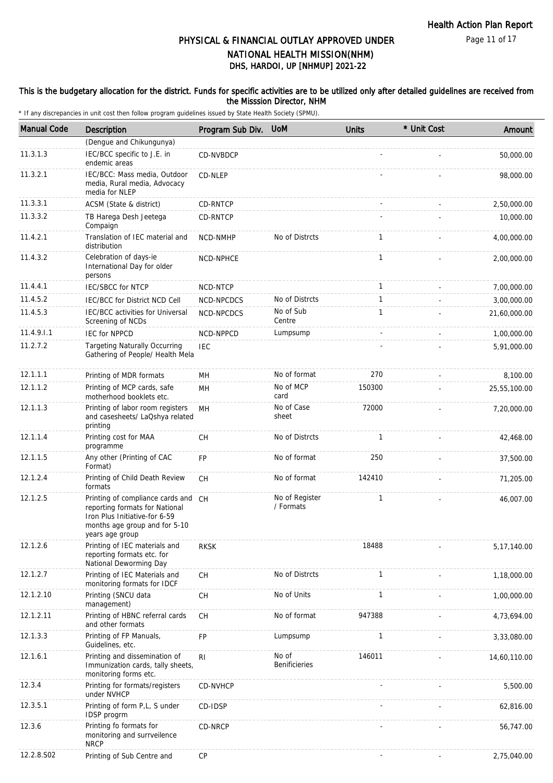#### This is the budgetary allocation for the district. Funds for specific activities are to be utilized only after detailed guidelines are received from the Misssion Director, NHM

| <b>Manual Code</b> | Description                                                                                                                                                | Program Sub Div. | <b>UoM</b>                  | <b>Units</b>             | * Unit Cost | Amount        |
|--------------------|------------------------------------------------------------------------------------------------------------------------------------------------------------|------------------|-----------------------------|--------------------------|-------------|---------------|
|                    | (Dengue and Chikungunya)                                                                                                                                   |                  |                             |                          |             |               |
| 11.3.1.3           | IEC/BCC specific to J.E. in<br>endemic areas                                                                                                               | CD-NVBDCP        |                             |                          |             | 50,000.00     |
| 11.3.2.1           | IEC/BCC: Mass media, Outdoor<br>media, Rural media, Advocacy<br>media for NLEP                                                                             | CD-NLEP          |                             |                          |             | 98,000.00     |
| 11.3.3.1           | ACSM (State & district)                                                                                                                                    | <b>CD-RNTCP</b>  |                             |                          |             | 2,50,000.00   |
| 11.3.3.2           | TB Harega Desh Jeetega<br>Compaign                                                                                                                         | CD-RNTCP         |                             |                          |             | 10,000.00     |
| 11.4.2.1           | Translation of IEC material and<br>distribution                                                                                                            | NCD-NMHP         | No of Distrcts              | $\mathbf{1}$             |             | 4,00,000.00   |
| 11.4.3.2           | Celebration of days-ie<br>International Day for older<br>persons                                                                                           | NCD-NPHCE        |                             | $\mathbf{1}$             |             | 2,00,000.00   |
| 11.4.4.1           | <b>IEC/SBCC for NTCP</b>                                                                                                                                   | NCD-NTCP         |                             | $\mathbf{1}$             |             | 7,00,000.00   |
| 11.4.5.2           | IEC/BCC for District NCD Cell                                                                                                                              | NCD-NPCDCS       | No of Distrcts              | $\mathbf{1}$             |             | 3,00,000.00   |
| 11.4.5.3           | IEC/BCC activities for Universal<br>Screening of NCDs                                                                                                      | NCD-NPCDCS       | No of Sub<br>Centre         | $\mathbf{1}$             |             | 21,60,000.00  |
| 11.4.9.1.1         | <b>IEC for NPPCD</b>                                                                                                                                       | NCD-NPPCD        | Lumpsump                    | $\overline{\phantom{a}}$ |             | 1,00,000.00   |
| 11.2.7.2           | <b>Targeting Naturally Occurring</b><br>Gathering of People/ Health Mela                                                                                   | <b>IEC</b>       |                             |                          |             | 5,91,000.00   |
| 12.1.1.1           | Printing of MDR formats                                                                                                                                    | MH               | No of format                | 270                      |             | 8,100.00      |
| 12.1.1.2           | Printing of MCP cards, safe<br>motherhood booklets etc.                                                                                                    | MН               | No of MCP<br>card           | 150300                   |             | 25,55,100.00  |
| 12.1.1.3           | Printing of labor room registers<br>and casesheets/ LaQshya related<br>printing                                                                            | MH               | No of Case<br>sheet         | 72000                    |             | 7,20,000.00   |
| 12.1.1.4           | Printing cost for MAA<br>programme                                                                                                                         | <b>CH</b>        | No of Distrcts              | $\mathbf{1}$             |             | 42,468.00     |
| 12.1.1.5           | Any other (Printing of CAC<br>Format)                                                                                                                      | <b>FP</b>        | No of format                | 250                      |             | 37,500.00     |
| 12.1.2.4           | Printing of Child Death Review<br>formats                                                                                                                  | CH               | No of format                | 142410                   |             | 71,205.00     |
| 12.1.2.5           | Printing of compliance cards and CH<br>reporting formats for National<br>Iron Plus Initiative-for 6-59<br>months age group and for 5-10<br>years age group |                  | No of Register<br>/ Formats | 1                        |             | 46,007.00     |
| 12.1.2.6           | Printing of IEC materials and<br>reporting formats etc. for<br>National Deworming Day                                                                      | <b>RKSK</b>      |                             | 18488                    |             | 5, 17, 140.00 |
| 12.1.2.7           | Printing of IEC Materials and<br>monitoring formats for IDCF                                                                                               | <b>CH</b>        | No of Distrcts              | $\mathbf{1}$             |             | 1,18,000.00   |
| 12.1.2.10          | Printing (SNCU data<br>management)                                                                                                                         | CH               | No of Units                 | $\mathbf{1}$             |             | 1,00,000.00   |
| 12.1.2.11          | Printing of HBNC referral cards<br>and other formats                                                                                                       | CH               | No of format                | 947388                   |             | 4,73,694.00   |
| 12.1.3.3           | Printing of FP Manuals,<br>Guidelines, etc.                                                                                                                | FP               | Lumpsump                    | $\mathbf{1}$             |             | 3,33,080.00   |
| 12.1.6.1           | Printing and dissemination of<br>Immunization cards, tally sheets,<br>monitoring forms etc.                                                                | R <sub>1</sub>   | No of<br>Benificieries      | 146011                   |             | 14,60,110.00  |
| 12.3.4             | Printing for formats/registers<br>under NVHCP                                                                                                              | CD-NVHCP         |                             |                          |             | 5,500.00      |
| 12.3.5.1           | Printing of form P,L, S under<br><b>IDSP</b> progrm                                                                                                        | CD-IDSP          |                             |                          |             | 62,816.00     |
| 12.3.6             | Printing fo formats for<br>monitoring and surrveilence<br><b>NRCP</b>                                                                                      | CD-NRCP          |                             |                          |             | 56,747.00     |
| 12.2.8.S02         | Printing of Sub Centre and                                                                                                                                 | CP               |                             |                          |             | 2,75,040.00   |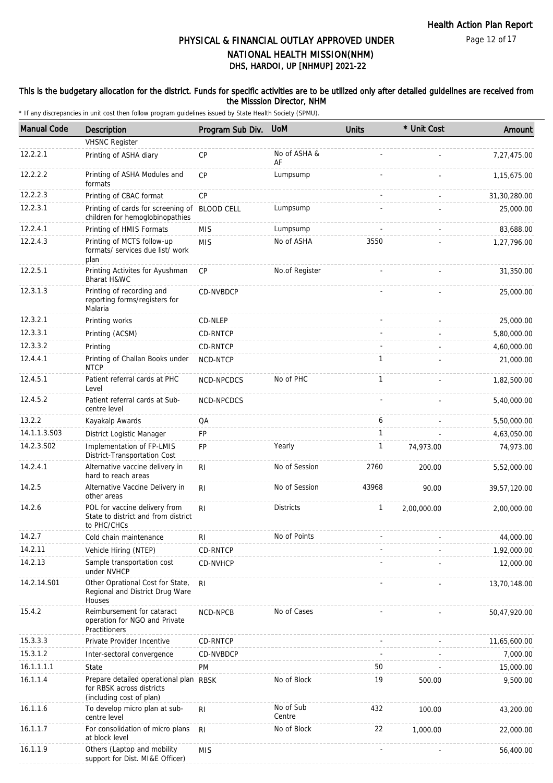#### This is the budgetary allocation for the district. Funds for specific activities are to be utilized only after detailed guidelines are received from the Misssion Director, NHM

| <b>Manual Code</b> | <b>Description</b>                                                                              | Program Sub Div.  | <b>UoM</b>          | <b>Units</b> | * Unit Cost | Amount       |
|--------------------|-------------------------------------------------------------------------------------------------|-------------------|---------------------|--------------|-------------|--------------|
|                    | <b>VHSNC Register</b>                                                                           |                   |                     |              |             |              |
| 12.2.2.1           | Printing of ASHA diary                                                                          | <b>CP</b>         | No of ASHA &<br>AF  |              |             | 7,27,475.00  |
| 12.2.2.2           | Printing of ASHA Modules and<br>formats                                                         | CP                | Lumpsump            |              |             | 1,15,675.00  |
| 12.2.2.3           | Printing of CBAC format                                                                         | CP                |                     |              |             | 31,30,280.00 |
| 12.2.3.1           | Printing of cards for screening of<br>children for hemoglobinopathies                           | <b>BLOOD CELL</b> | Lumpsump            |              |             | 25,000.00    |
| 12.2.4.1           | Printing of HMIS Formats                                                                        | <b>MIS</b>        | Lumpsump            |              |             | 83,688.00    |
| 12.2.4.3           | Printing of MCTS follow-up<br>formats/ services due list/ work<br>plan                          | <b>MIS</b>        | No of ASHA          | 3550         |             | 1,27,796.00  |
| 12.2.5.1           | Printing Activites for Ayushman<br>Bharat H&WC                                                  | CP                | No.of Register      |              |             | 31,350.00    |
| 12.3.1.3           | Printing of recording and<br>reporting forms/registers for<br>Malaria                           | CD-NVBDCP         |                     |              |             | 25,000.00    |
| 12.3.2.1           | Printing works                                                                                  | CD-NLEP           |                     |              | $\sim$      | 25,000.00    |
| 12.3.3.1           | Printing (ACSM)                                                                                 | CD-RNTCP          |                     |              |             | 5,80,000.00  |
| 12.3.3.2           | Printing                                                                                        | <b>CD-RNTCP</b>   |                     |              |             | 4,60,000.00  |
| 12.4.4.1           | Printing of Challan Books under<br><b>NTCP</b>                                                  | NCD-NTCP          |                     | $\mathbf{1}$ |             | 21,000.00    |
| 12.4.5.1           | Patient referral cards at PHC<br>Level                                                          | NCD-NPCDCS        | No of PHC           | $\mathbf{1}$ |             | 1,82,500.00  |
| 12.4.5.2           | Patient referral cards at Sub-<br>centre level                                                  | NCD-NPCDCS        |                     |              |             | 5,40,000.00  |
| 13.2.2             | Kayakalp Awards                                                                                 | QA                |                     | 6            |             | 5,50,000.00  |
| 14.1.1.3.S03       | District Logistic Manager                                                                       | FP                |                     | $\mathbf{1}$ |             | 4,63,050.00  |
| 14.2.3.S02         | Implementation of FP-LMIS<br>District-Transportation Cost                                       | <b>FP</b>         | Yearly              | $\mathbf{1}$ | 74,973.00   | 74,973.00    |
| 14.2.4.1           | Alternative vaccine delivery in<br>hard to reach areas                                          | R <sub>l</sub>    | No of Session       | 2760         | 200.00      | 5,52,000.00  |
| 14.2.5             | Alternative Vaccine Delivery in<br>other areas                                                  | <b>RI</b>         | No of Session       | 43968        | 90.00       | 39,57,120.00 |
| 14.2.6             | POL for vaccine delivery from<br>State to district and from district<br>to PHC/CHCs             | R <sub>l</sub>    | <b>Districts</b>    | $\mathbf{1}$ | 2,00,000.00 | 2,00,000.00  |
| 14.2.7             | Cold chain maintenance                                                                          | R <sub>l</sub>    | No of Points        |              |             | 44,000.00    |
| 14.2.11            | Vehicle Hiring (NTEP)                                                                           | CD-RNTCP          |                     |              |             | 1,92,000.00  |
| 14.2.13            | Sample transportation cost<br>under NVHCP                                                       | CD-NVHCP          |                     |              |             | 12,000.00    |
| 14.2.14.S01        | Other Oprational Cost for State,<br>Regional and District Drug Ware<br>Houses                   | <b>RI</b>         |                     |              |             | 13,70,148.00 |
| 15.4.2             | Reimbursement for cataract<br>operation for NGO and Private<br>Practitioners                    | NCD-NPCB          | No of Cases         |              |             | 50,47,920.00 |
| 15.3.3.3           | Private Provider Incentive                                                                      | CD-RNTCP          |                     |              |             | 11,65,600.00 |
| 15.3.1.2           | Inter-sectoral convergence                                                                      | CD-NVBDCP         |                     |              |             | 7,000.00     |
| 16.1.1.1.1         | State                                                                                           | PM                |                     | 50           |             | 15,000.00    |
| 16.1.1.4           | Prepare detailed operational plan RBSK<br>for RBSK across districts<br>(including cost of plan) |                   | No of Block         | 19           | 500.00      | 9,500.00     |
| 16.1.1.6           | To develop micro plan at sub-<br>centre level                                                   | R <sub>l</sub>    | No of Sub<br>Centre | 432          | 100.00      | 43,200.00    |
| 16.1.1.7           | For consolidation of micro plans<br>at block level                                              | R <sub>l</sub>    | No of Block         | 22           | 1,000.00    | 22,000.00    |
| 16.1.1.9           | Others (Laptop and mobility<br>support for Dist. MI&E Officer)                                  | <b>MIS</b>        |                     |              |             | 56,400.00    |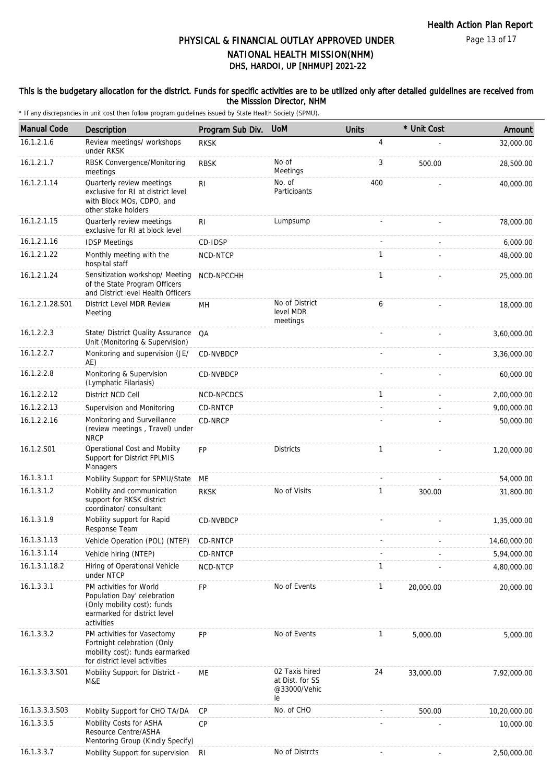#### This is the budgetary allocation for the district. Funds for specific activities are to be utilized only after detailed guidelines are received from the Misssion Director, NHM

| <b>Manual Code</b> | Description                                                                                                                         | Program Sub Div. | <b>UoM</b>                                              | <b>Units</b> | * Unit Cost | Amount       |
|--------------------|-------------------------------------------------------------------------------------------------------------------------------------|------------------|---------------------------------------------------------|--------------|-------------|--------------|
| 16.1.2.1.6         | Review meetings/ workshops<br>under RKSK                                                                                            | <b>RKSK</b>      |                                                         | 4            |             | 32,000.00    |
| 16.1.2.1.7         | RBSK Convergence/Monitoring<br>meetings                                                                                             | <b>RBSK</b>      | No of<br>Meetings                                       | 3            | 500.00      | 28,500.00    |
| 16.1.2.1.14        | Quarterly review meetings<br>exclusive for RI at district level<br>with Block MOs, CDPO, and<br>other stake holders                 | R <sub>l</sub>   | No. of<br>Participants                                  | 400          |             | 40,000.00    |
| 16.1.2.1.15        | Quarterly review meetings<br>exclusive for RI at block level                                                                        | R <sub>1</sub>   | Lumpsump                                                |              |             | 78,000.00    |
| 16.1.2.1.16        | <b>IDSP Meetings</b>                                                                                                                | CD-IDSP          |                                                         |              |             | 6,000.00     |
| 16.1.2.1.22        | Monthly meeting with the<br>hospital staff                                                                                          | NCD-NTCP         |                                                         | $\mathbf{1}$ |             | 48,000.00    |
| 16.1.2.1.24        | Sensitization workshop/ Meeting<br>of the State Program Officers<br>and District level Health Officers                              | NCD-NPCCHH       |                                                         | $\mathbf{1}$ |             | 25,000.00    |
| 16.1.2.1.28.S01    | District Level MDR Review<br>Meeting                                                                                                | MН               | No of District<br>level MDR<br>meetings                 | 6            |             | 18,000.00    |
| 16.1.2.2.3         | State/ District Quality Assurance<br>Unit (Monitoring & Supervision)                                                                | QA               |                                                         |              |             | 3,60,000.00  |
| 16.1.2.2.7         | Monitoring and supervision (JE/<br>AE)                                                                                              | CD-NVBDCP        |                                                         |              |             | 3,36,000.00  |
| 16.1.2.2.8         | Monitoring & Supervision<br>(Lymphatic Filariasis)                                                                                  | <b>CD-NVBDCP</b> |                                                         |              |             | 60,000.00    |
| 16.1.2.2.12        | District NCD Cell                                                                                                                   | NCD-NPCDCS       |                                                         | $\mathbf{1}$ |             | 2,00,000.00  |
| 16.1.2.2.13        | Supervision and Monitoring                                                                                                          | CD-RNTCP         |                                                         |              |             | 9,00,000.00  |
| 16.1.2.2.16        | Monitoring and Surveillance<br>(review meetings, Travel) under<br><b>NRCP</b>                                                       | CD-NRCP          |                                                         |              |             | 50,000.00    |
| 16.1.2.S01         | Operational Cost and Mobilty<br>Support for District FPLMIS<br>Managers                                                             | <b>FP</b>        | <b>Districts</b>                                        | $\mathbf{1}$ |             | 1,20,000.00  |
| 16.1.3.1.1         | Mobility Support for SPMU/State                                                                                                     | МE               |                                                         |              |             | 54,000.00    |
| 16.1.3.1.2         | Mobility and communication<br>support for RKSK district<br>coordinator/consultant                                                   | <b>RKSK</b>      | No of Visits                                            | 1            | 300.00      | 31,800.00    |
| 16.1.3.1.9         | Mobility support for Rapid<br>Response Team                                                                                         | CD-NVBDCP        |                                                         |              |             | 1,35,000.00  |
| 16.1.3.1.13        | Vehicle Operation (POL) (NTEP)                                                                                                      | CD-RNTCP         |                                                         |              |             | 14,60,000.00 |
| 16.1.3.1.14        | Vehicle hiring (NTEP)                                                                                                               | CD-RNTCP         |                                                         |              |             | 5,94,000.00  |
| 16.1.3.1.18.2      | Hiring of Operational Vehicle<br>under NTCP                                                                                         | NCD-NTCP         |                                                         | $\mathbf{1}$ |             | 4,80,000.00  |
| 16.1.3.3.1         | PM activities for World<br>Population Day' celebration<br>(Only mobility cost): funds<br>earmarked for district level<br>activities | <b>FP</b>        | No of Events                                            | $\mathbf{1}$ | 20,000.00   | 20,000.00    |
| 16.1.3.3.2         | PM activities for Vasectomy<br>Fortnight celebration (Only<br>mobility cost): funds earmarked<br>for district level activities      | <b>FP</b>        | No of Events                                            | $\mathbf{1}$ | 5,000.00    | 5,000.00     |
| 16.1.3.3.3.S01     | Mobility Support for District -<br>M&E                                                                                              | ME               | 02 Taxis hired<br>at Dist. for SS<br>@33000/Vehic<br>le | 24           | 33,000.00   | 7,92,000.00  |
| 16.1.3.3.3.S03     | Mobilty Support for CHO TA/DA                                                                                                       | <b>CP</b>        | No. of CHO                                              |              | 500.00      | 10,20,000.00 |
| 16.1.3.3.5         | Mobility Costs for ASHA<br>Resource Centre/ASHA<br>Mentoring Group (Kindly Specify)                                                 | CP               |                                                         |              |             | 10,000.00    |
| 16.1.3.3.7         | Mobility Support for supervision                                                                                                    | <b>RI</b>        | No of Distrcts                                          |              |             | 2,50,000.00  |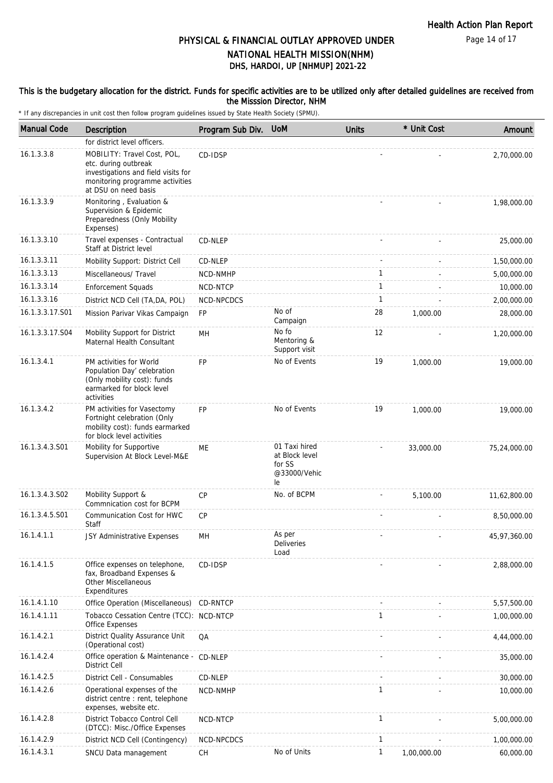Page 14 of 17

# PHYSICAL & FINANCIAL OUTLAY APPROVED UNDER NATIONAL HEALTH MISSION(NHM)

# DHS, HARDOI, UP [NHMUP] 2021-22

#### This is the budgetary allocation for the district. Funds for specific activities are to be utilized only after detailed guidelines are received from the Misssion Director, NHM

| <b>Manual Code</b> | Description                                                                                                                                           | Program Sub Div. | <b>UoM</b>                                                      | <b>Units</b> | * Unit Cost | Amount       |
|--------------------|-------------------------------------------------------------------------------------------------------------------------------------------------------|------------------|-----------------------------------------------------------------|--------------|-------------|--------------|
|                    | for district level officers.                                                                                                                          |                  |                                                                 |              |             |              |
| 16.1.3.3.8         | MOBILITY: Travel Cost, POL,<br>etc. during outbreak<br>investigations and field visits for<br>monitoring programme activities<br>at DSU on need basis | CD-IDSP          |                                                                 |              |             | 2,70,000.00  |
| 16.1.3.3.9         | Monitoring, Evaluation &<br>Supervision & Epidemic<br>Preparedness (Only Mobility<br>Expenses)                                                        |                  |                                                                 |              |             | 1,98,000.00  |
| 16.1.3.3.10        | Travel expenses - Contractual<br>Staff at District level                                                                                              | CD-NLEP          |                                                                 |              |             | 25,000.00    |
| 16.1.3.3.11        | Mobility Support: District Cell                                                                                                                       | CD-NLEP          |                                                                 |              |             | 1,50,000.00  |
| 16.1.3.3.13        | Miscellaneous/ Travel                                                                                                                                 | NCD-NMHP         |                                                                 | $\mathbf{1}$ |             | 5,00,000.00  |
| 16.1.3.3.14        | <b>Enforcement Squads</b>                                                                                                                             | NCD-NTCP         |                                                                 | $\mathbf{1}$ |             | 10,000.00    |
| 16.1.3.3.16        | District NCD Cell (TA, DA, POL)                                                                                                                       | NCD-NPCDCS       |                                                                 | $\mathbf{1}$ |             | 2,00,000.00  |
| 16.1.3.3.17.S01    | Mission Parivar Vikas Campaign                                                                                                                        | <b>FP</b>        | No of<br>Campaign                                               | 28           | 1,000.00    | 28,000.00    |
| 16.1.3.3.17.S04    | Mobility Support for District<br>Maternal Health Consultant                                                                                           | MH               | No fo<br>Mentoring &<br>Support visit                           | 12           |             | 1,20,000.00  |
| 16.1.3.4.1         | PM activities for World<br>Population Day' celebration<br>(Only mobility cost): funds<br>earmarked for block level<br>activities                      | FP               | No of Events                                                    | 19           | 1,000.00    | 19,000.00    |
| 16.1.3.4.2         | PM activities for Vasectomy<br>Fortnight celebration (Only<br>mobility cost): funds earmarked<br>for block level activities                           | <b>FP</b>        | No of Events                                                    | 19           | 1,000.00    | 19,000.00    |
| 16.1.3.4.3.S01     | Mobility for Supportive<br>Supervision At Block Level-M&E                                                                                             | ME               | 01 Taxi hired<br>at Block level<br>for SS<br>@33000/Vehic<br>le |              | 33,000.00   | 75,24,000.00 |
| 16.1.3.4.3.S02     | Mobility Support &<br>Commnication cost for BCPM                                                                                                      | <b>CP</b>        | No. of BCPM                                                     |              | 5,100.00    | 11,62,800.00 |
| 16.1.3.4.5.S01     | Communication Cost for HWC<br>Staff                                                                                                                   | <b>CP</b>        |                                                                 |              |             | 8,50,000.00  |
| 16.1.4.1.1         | JSY Administrative Expenses                                                                                                                           | MН               | As per<br><b>Deliveries</b><br>Load                             |              |             | 45,97,360.00 |
| 16.1.4.1.5         | Office expenses on telephone,<br>fax, Broadband Expenses &<br><b>Other Miscellaneous</b><br>Expenditures                                              | CD-IDSP          |                                                                 |              |             | 2,88,000.00  |
| 16.1.4.1.10        | Office Operation (Miscellaneous)                                                                                                                      | CD-RNTCP         |                                                                 |              |             | 5,57,500.00  |
| 16.1.4.1.11        | Tobacco Cessation Centre (TCC): NCD-NTCP<br>Office Expenses                                                                                           |                  |                                                                 | $\mathbf{1}$ |             | 1,00,000.00  |
| 16.1.4.2.1         | District Quality Assurance Unit<br>(Operational cost)                                                                                                 | QA               |                                                                 |              |             | 4,44,000.00  |
| 16.1.4.2.4         | Office operation & Maintenance -<br><b>District Cell</b>                                                                                              | CD-NLEP          |                                                                 |              |             | 35,000.00    |
| 16.1.4.2.5         | District Cell - Consumables                                                                                                                           | CD-NLEP          |                                                                 |              |             | 30,000.00    |
| 16.1.4.2.6         | Operational expenses of the<br>district centre : rent, telephone<br>expenses, website etc.                                                            | NCD-NMHP         |                                                                 | 1            |             | 10,000.00    |
| 16.1.4.2.8         | District Tobacco Control Cell<br>(DTCC): Misc./Office Expenses                                                                                        | NCD-NTCP         |                                                                 | $\mathbf{1}$ |             | 5,00,000.00  |
| 16.1.4.2.9         | District NCD Cell (Contingency)                                                                                                                       | NCD-NPCDCS       |                                                                 | $\mathbf{1}$ |             | 1,00,000.00  |
| 16.1.4.3.1         | SNCU Data management                                                                                                                                  | СH               | No of Units                                                     | $\mathbf{1}$ | 1,00,000.00 | 60,000.00    |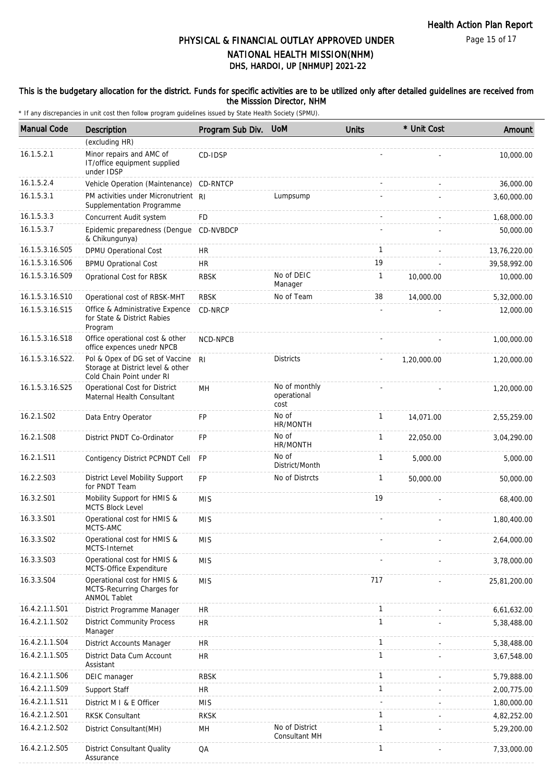#### This is the budgetary allocation for the district. Funds for specific activities are to be utilized only after detailed guidelines are received from the Misssion Director, NHM

| <b>Manual Code</b> | <b>Description</b>                                                                                | Program Sub Div. UoM |                                      | <b>Units</b> | * Unit Cost | Amount       |
|--------------------|---------------------------------------------------------------------------------------------------|----------------------|--------------------------------------|--------------|-------------|--------------|
|                    | (excluding HR)                                                                                    |                      |                                      |              |             |              |
| 16.1.5.2.1         | Minor repairs and AMC of<br>IT/office equipment supplied<br>under IDSP                            | CD-IDSP              |                                      |              |             | 10,000.00    |
| 16.1.5.2.4         | Vehicle Operation (Maintenance)                                                                   | CD-RNTCP             |                                      |              |             | 36,000.00    |
| 16.1.5.3.1         | PM activities under Micronutrient RI<br>Supplementation Programme                                 |                      | Lumpsump                             |              |             | 3,60,000.00  |
| 16.1.5.3.3         | Concurrent Audit system                                                                           | FD                   |                                      |              |             | 1,68,000.00  |
| 16.1.5.3.7         | Epidemic preparedness (Dengue<br>& Chikungunya)                                                   | CD-NVBDCP            |                                      |              |             | 50,000.00    |
| 16.1.5.3.16.S05    | DPMU Operational Cost                                                                             | HR                   |                                      | $\mathbf{1}$ |             | 13,76,220.00 |
| 16.1.5.3.16.S06    | <b>BPMU Oprational Cost</b>                                                                       | <b>HR</b>            |                                      | 19           |             | 39,58,992.00 |
| 16.1.5.3.16.S09    | Oprational Cost for RBSK                                                                          | <b>RBSK</b>          | No of DEIC<br>Manager                | $\mathbf{1}$ | 10,000.00   | 10,000.00    |
| 16.1.5.3.16.S10    | Operational cost of RBSK-MHT                                                                      | <b>RBSK</b>          | No of Team                           | 38           | 14,000.00   | 5,32,000.00  |
| 16.1.5.3.16.S15    | Office & Administrative Expence<br>for State & District Rabies<br>Program                         | CD-NRCP              |                                      |              |             | 12,000.00    |
| 16.1.5.3.16.S18    | Office operational cost & other<br>office expences unedr NPCB                                     | NCD-NPCB             |                                      |              |             | 1,00,000.00  |
| 16.1.5.3.16.S22.   | Pol & Opex of DG set of Vaccine<br>Storage at District level & other<br>Cold Chain Point under RI | RI.                  | <b>Districts</b>                     |              | 1,20,000.00 | 1,20,000.00  |
| 16.1.5.3.16.S25    | Operational Cost for District<br>Maternal Health Consultant                                       | MH                   | No of monthly<br>operational<br>cost |              |             | 1,20,000.00  |
| 16.2.1.S02         | Data Entry Operator                                                                               | <b>FP</b>            | No of<br>HR/MONTH                    | $\mathbf{1}$ | 14,071.00   | 2,55,259.00  |
| 16.2.1.S08         | District PNDT Co-Ordinator                                                                        | <b>FP</b>            | No of<br>HR/MONTH                    | 1            | 22,050.00   | 3,04,290.00  |
| 16.2.1.S11         | Contigency District PCPNDT Cell                                                                   | <b>FP</b>            | No of<br>District/Month              | $\mathbf{1}$ | 5,000.00    | 5,000.00     |
| 16.2.2.S03         | District Level Mobility Support<br>for PNDT Team                                                  | <b>FP</b>            | No of Distrcts                       | $\mathbf{1}$ | 50,000.00   | 50,000.00    |
| 16.3.2.S01         | Mobility Support for HMIS &<br><b>MCTS Block Level</b>                                            | <b>MIS</b>           |                                      | 19           |             | 68,400.00    |
| 16.3.3.S01         | Operational cost for HMIS &<br>MCTS-AMC                                                           | <b>MIS</b>           |                                      |              |             | 1,80,400.00  |
| 16.3.3.S02         | Operational cost for HMIS &<br>MCTS-Internet                                                      | <b>MIS</b>           |                                      |              |             | 2,64,000.00  |
| 16.3.3.S03         | Operational cost for HMIS &<br>MCTS-Office Expenditure                                            | <b>MIS</b>           |                                      |              |             | 3,78,000.00  |
| 16.3.3.S04         | Operational cost for HMIS &<br>MCTS-Recurring Charges for<br><b>ANMOL Tablet</b>                  | <b>MIS</b>           |                                      | 717          |             | 25,81,200.00 |
| 16.4.2.1.1.S01     | District Programme Manager                                                                        | HR                   |                                      | 1            |             | 6,61,632.00  |
| 16.4.2.1.1.S02     | <b>District Community Process</b><br>Manager                                                      | <b>HR</b>            |                                      | $\mathbf{1}$ |             | 5,38,488.00  |
| 16.4.2.1.1.S04     | District Accounts Manager                                                                         | <b>HR</b>            |                                      | $\mathbf{1}$ |             | 5,38,488.00  |
| 16.4.2.1.1.S05     | District Data Cum Account<br>Assistant                                                            | <b>HR</b>            |                                      | $\mathbf{1}$ |             | 3,67,548.00  |
| 16.4.2.1.1.S06     | DEIC manager                                                                                      | <b>RBSK</b>          |                                      | 1            |             | 5,79,888.00  |
| 16.4.2.1.1.S09     | Support Staff                                                                                     | HR                   |                                      | $\mathbf{1}$ |             | 2,00,775.00  |
| 16.4.2.1.1.S11     | District M I & E Officer                                                                          | <b>MIS</b>           |                                      |              |             | 1,80,000.00  |
| 16.4.2.1.2.S01     | <b>RKSK Consultant</b>                                                                            | <b>RKSK</b>          |                                      | $\mathbf{1}$ |             | 4,82,252.00  |
| 16.4.2.1.2.S02     | District Consultant(MH)                                                                           | MH                   | No of District<br>Consultant MH      | $\mathbf{1}$ |             | 5,29,200.00  |
| 16.4.2.1.2.S05     | District Consultant Quality<br>Assurance                                                          | QA                   |                                      | $\mathbf{1}$ |             | 7,33,000.00  |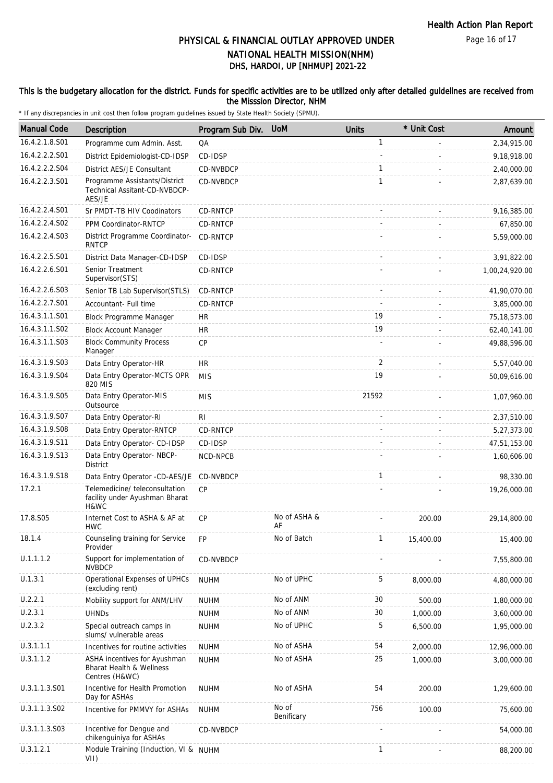#### This is the budgetary allocation for the district. Funds for specific activities are to be utilized only after detailed guidelines are received from the Misssion Director, NHM

| <b>Manual Code</b> | Description                                                                | Program Sub Div. | <b>UoM</b>          | <b>Units</b> | * Unit Cost | Amount         |
|--------------------|----------------------------------------------------------------------------|------------------|---------------------|--------------|-------------|----------------|
| 16.4.2.1.8.S01     | Programme cum Admin. Asst.                                                 | QA               |                     | $\mathbf{1}$ |             | 2,34,915.00    |
| 16.4.2.2.2.S01     | District Epidemiologist-CD-IDSP                                            | CD-IDSP          |                     |              |             | 9,18,918.00    |
| 16.4.2.2.2.S04     | District AES/JE Consultant                                                 | CD-NVBDCP        |                     | 1            |             | 2,40,000.00    |
| 16.4.2.2.3.S01     | Programme Assistants/District<br>Technical Assitant-CD-NVBDCP-<br>AES/JE   | CD-NVBDCP        |                     | $\mathbf{1}$ |             | 2,87,639.00    |
| 16.4.2.2.4.S01     | Sr PMDT-TB HIV Coodinators                                                 | CD-RNTCP         |                     |              |             | 9,16,385.00    |
| 16.4.2.2.4.S02     | PPM Coordinator-RNTCP                                                      | CD-RNTCP         |                     |              |             | 67,850.00      |
| 16.4.2.2.4.S03     | District Programme Coordinator-<br><b>RNTCP</b>                            | CD-RNTCP         |                     |              |             | 5,59,000.00    |
| 16.4.2.2.5.S01     | District Data Manager-CD-IDSP                                              | CD-IDSP          |                     |              |             | 3,91,822.00    |
| 16.4.2.2.6.S01     | Senior Treatment<br>Supervisor (STS)                                       | CD-RNTCP         |                     |              |             | 1,00,24,920.00 |
| 16.4.2.2.6.S03     | Senior TB Lab Supervisor (STLS)                                            | CD-RNTCP         |                     |              |             | 41,90,070.00   |
| 16.4.2.2.7.S01     | Accountant- Full time                                                      | CD-RNTCP         |                     |              |             | 3,85,000.00    |
| 16.4.3.1.1.S01     | Block Programme Manager                                                    | <b>HR</b>        |                     | 19           |             | 75, 18, 573.00 |
| 16.4.3.1.1.S02     | <b>Block Account Manager</b>                                               | <b>HR</b>        |                     | 19           |             | 62,40,141.00   |
| 16.4.3.1.1.S03     | <b>Block Community Process</b><br>Manager                                  | <b>CP</b>        |                     |              |             | 49,88,596.00   |
| 16.4.3.1.9.S03     | Data Entry Operator-HR                                                     | <b>HR</b>        |                     | 2            |             | 5,57,040.00    |
| 16.4.3.1.9.S04     | Data Entry Operator-MCTS OPR<br>820 MIS                                    | <b>MIS</b>       |                     | 19           |             | 50,09,616.00   |
| 16.4.3.1.9.S05     | Data Entry Operator-MIS<br>Outsource                                       | <b>MIS</b>       |                     | 21592        |             | 1,07,960.00    |
| 16.4.3.1.9.S07     | Data Entry Operator-RI                                                     | RI               |                     |              |             | 2,37,510.00    |
| 16.4.3.1.9.S08     | Data Entry Operator-RNTCP                                                  | CD-RNTCP         |                     |              |             | 5,27,373.00    |
| 16.4.3.1.9.S11     | Data Entry Operator- CD-IDSP                                               | CD-IDSP          |                     |              |             | 47,51,153.00   |
| 16.4.3.1.9.S13     | Data Entry Operator- NBCP-<br>District                                     | NCD-NPCB         |                     |              |             | 1,60,606.00    |
| 16.4.3.1.9.S18     | Data Entry Operator -CD-AES/JE                                             | CD-NVBDCP        |                     | $\mathbf{1}$ |             | 98,330.00      |
| 17.2.1             | Telemedicine/ teleconsultation<br>facility under Ayushman Bharat<br>H&WC   | <b>CP</b>        |                     |              |             | 19,26,000.00   |
| 17.8.S05           | Internet Cost to ASHA & AF at<br><b>HWC</b>                                | <b>CP</b>        | No of ASHA &<br>AF  |              | 200.00      | 29,14,800.00   |
| 18.1.4             | Counseling training for Service<br>Provider                                | <b>FP</b>        | No of Batch         | $\mathbf{1}$ | 15,400.00   | 15,400.00      |
| U.1.1.1.2          | Support for implementation of<br><b>NVBDCP</b>                             | CD-NVBDCP        |                     |              |             | 7,55,800.00    |
| U.1.3.1            | Operational Expenses of UPHCs<br>(excluding rent)                          | <b>NUHM</b>      | No of UPHC          | 5            | 8,000.00    | 4,80,000.00    |
| U.2.2.1            | Mobility support for ANM/LHV                                               | <b>NUHM</b>      | No of ANM           | 30           | 500.00      | 1,80,000.00    |
| U.2.3.1            | <b>UHNDs</b>                                                               | <b>NUHM</b>      | No of ANM           | 30           | 1,000.00    | 3,60,000.00    |
| U.2.3.2            | Special outreach camps in<br>slums/ vulnerable areas                       | <b>NUHM</b>      | No of UPHC          | 5            | 6,500.00    | 1,95,000.00    |
| U.3.1.1.1          | Incentives for routine activities                                          | <b>NUHM</b>      | No of ASHA          | 54           | 2,000.00    | 12,96,000.00   |
| U.3.1.1.2          | ASHA incentives for Ayushman<br>Bharat Health & Wellness<br>Centres (H&WC) | <b>NUHM</b>      | No of ASHA          | 25           | 1,000.00    | 3,00,000.00    |
| U.3.1.1.3.S01      | Incentive for Health Promotion<br>Day for ASHAs                            | <b>NUHM</b>      | No of ASHA          | 54           | 200.00      | 1,29,600.00    |
| U.3.1.1.3.S02      | Incentive for PMMVY for ASHAs                                              | <b>NUHM</b>      | No of<br>Benificary | 756          | 100.00      | 75,600.00      |
| U.3.1.1.3.S03      | Incentive for Dengue and<br>chikenguiniya for ASHAs                        | CD-NVBDCP        |                     |              |             | 54,000.00      |
| U.3.1.2.1          | Module Training (Induction, VI & NUHM<br>VII)                              |                  |                     | $\mathbf{1}$ |             | 88,200.00      |